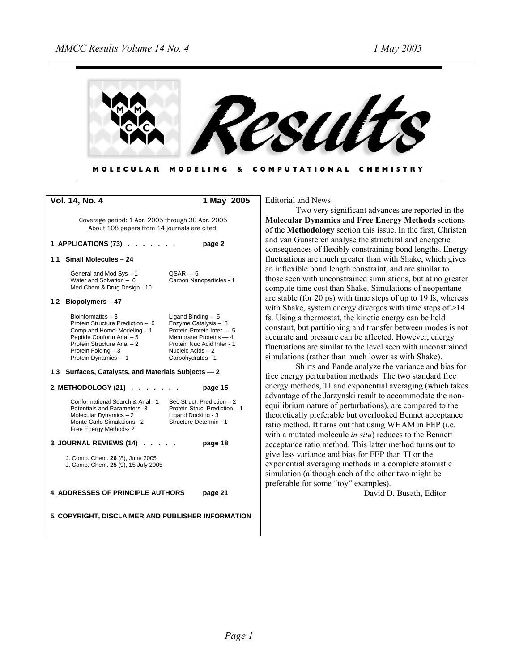

MODELING & COMPUTATIONAL CHEMISTRY **MOLECULAR** 

| Vol. 14, No. 4                                                                                                                                                                                  | 1 May 2005                                                                                                                                                                 |
|-------------------------------------------------------------------------------------------------------------------------------------------------------------------------------------------------|----------------------------------------------------------------------------------------------------------------------------------------------------------------------------|
| Coverage period: 1 Apr. 2005 through 30 Apr. 2005<br>About 108 papers from 14 journals are cited.                                                                                               |                                                                                                                                                                            |
| 1. APPLICATIONS $(73)$                                                                                                                                                                          | page 2                                                                                                                                                                     |
| 1.1 Small Molecules - 24                                                                                                                                                                        |                                                                                                                                                                            |
| General and Mod Sys - 1<br>Water and Solvation $-6$<br>Med Chem & Drug Design - 10                                                                                                              | $QSAR - 6$<br>Carbon Nanoparticles - 1                                                                                                                                     |
| Biopolymers-47<br>1.2                                                                                                                                                                           |                                                                                                                                                                            |
| Bioinformatics $-3$<br>Protein Structure Prediction - 6<br>Comp and Homol Modeling - 1<br>Peptide Conform Anal - 5<br>Protein Structure Anal - 2<br>Protein Folding - 3<br>Protein Dynamics - 1 | Ligand Binding $-5$<br>Enzyme Catalysis - 8<br>Protein-Protein Inter. - 5<br>Membrane Proteins - 4<br>Protein Nuc Acid Inter - 1<br>Nucleic Acids - 2<br>Carbohydrates - 1 |
| 1.3 Surfaces, Catalysts, and Materials Subjects - 2                                                                                                                                             |                                                                                                                                                                            |
| 2. METHODOLOGY (21)                                                                                                                                                                             | page 15                                                                                                                                                                    |
| Conformational Search & Anal - 1<br><b>Potentials and Parameters -3</b><br>Molecular Dynamics-2<br>Monte Carlo Simulations - 2<br>Free Energy Methods- 2                                        | Sec Struct. Prediction - 2<br>Protein Struc. Prediction - 1<br>Ligand Docking - 3<br>Structure Determin - 1                                                                |
| 3. JOURNAL REVIEWS (14).                                                                                                                                                                        | page 18                                                                                                                                                                    |
| J. Comp. Chem. 26 (8), June 2005<br>J. Comp. Chem. 25 (9), 15 July 2005                                                                                                                         |                                                                                                                                                                            |
| <b>4. ADDRESSES OF PRINCIPLE AUTHORS</b>                                                                                                                                                        | page 21                                                                                                                                                                    |
| 5. COPYRIGHT, DISCLAIMER AND PUBLISHER INFORMATION                                                                                                                                              |                                                                                                                                                                            |

Editorial and News

Two very significant advances are reported in the **Molecular Dynamics** and **Free Energy Methods** sections of the **Methodology** section this issue. In the first, Christen and van Gunsteren analyse the structural and energetic consequences of flexibly constraining bond lengths. Energy fluctuations are much greater than with Shake, which gives an inflexible bond length constraint, and are similar to those seen with unconstrained simulations, but at no greater compute time cost than Shake. Simulations of neopentane are stable (for 20 ps) with time steps of up to 19 fs, whereas with Shake, system energy diverges with time steps of >14 fs. Using a thermostat, the kinetic energy can be held constant, but partitioning and transfer between modes is not accurate and pressure can be affected. However, energy fluctuations are similar to the level seen with unconstrained simulations (rather than much lower as with Shake).

Shirts and Pande analyze the variance and bias for free energy perturbation methods. The two standard free energy methods, TI and exponential averaging (which takes advantage of the Jarzynski result to accommodate the nonequilibrium nature of perturbations), are compared to the theoretically preferable but overlooked Bennet acceptance ratio method. It turns out that using WHAM in FEP (i.e. with a mutated molecule *in situ*) reduces to the Bennett acceptance ratio method. This latter method turns out to give less variance and bias for FEP than TI or the exponential averaging methods in a complete atomistic simulation (although each of the other two might be preferable for some "toy" examples).

David D. Busath, Editor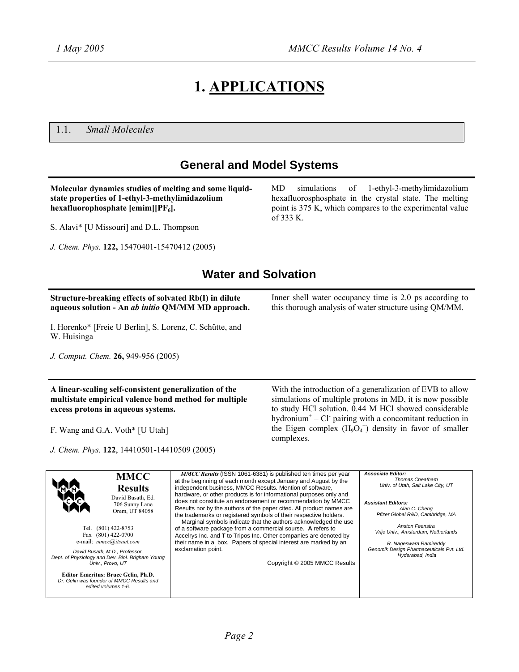# **1. APPLICATIONS**

1.1. *Small Molecules*

## **General and Model Systems**

**Molecular dynamics studies of melting and some liquidstate properties of 1-ethyl-3-methylimidazolium hexafluorophosphate [emim][PF6].** 

S. Alavi\* [U Missouri] and D.L. Thompson

*J. Chem. Phys.* **122,** 15470401-15470412 (2005)

MD simulations of 1-ethyl-3-methylimidazolium hexafluorosphosphate in the crystal state. The melting point is 375 K, which compares to the experimental value of 333 K.

Inner shell water occupancy time is 2.0 ps according to this thorough analysis of water structure using QM/MM.

### **Water and Solvation**

### **Structure-breaking effects of solvated Rb(I) in dilute aqueous solution - An** *ab initio* **QM/MM MD approach.**

I. Horenko\* [Freie U Berlin], S. Lorenz, C. Schütte, and W. Huisinga

*J. Comput. Chem.* **26,** 949-956 (2005)

**A linear-scaling self-consistent generalization of the multistate empirical valence bond method for multiple excess protons in aqueous systems.** 

F. Wang and G.A. Voth\* [U Utah]

*J. Chem. Phys.* **122**, 14410501-14410509 (2005)

With the introduction of a generalization of EVB to allow simulations of multiple protons in MD, it is now possible to study HCl solution. 0.44 M HCl showed considerable hydronium<sup>+</sup>  $-$  Cl<sup>-</sup> pairing with a concomitant reduction in the Eigen complex  $(H_9O_4^+)$  density in favor of smaller

**MMCC Results**  David Busath, Ed. 706 Sunny Lane Orem, UT 84058 Tel. (801) 422-8753 Fax (801) 422-0700 e-mail: *mmcc@itsnet.com David Busath, M.D., Professor, Dept. of Physiology and Dev. Biol. Brigham Young Univ., Provo, UT* **Editor Emeritus: Bruce Gelin, Ph.D.**  *Dr. Gelin was founder of MMCC Results and edited volumes 1-6. MMCC Results* (ISSN 1061-6381) is published ten times per year at the beginning of each month except January and August by the independent business, MMCC Results. Mention of software, hardware, or other products is for informational purposes only and does not constitute an endorsement or recommendation by MMCC Results nor by the authors of the paper cited. All product names are the trademarks or registered symbols of their respective holders. Marginal symbols indicate that the authors acknowledged the use of a software package from a commercial sourse. **A** refers to Accelrys Inc. and **T** to Tripos Inc. Other companies are denoted by their name in a box. Papers of special interest are marked by an exclamation point. Copyright © 2005 MMCC Results *Associate Editor: Thomas Cheatham Univ. of Utah, Salt Lake City, UT Assistant Editors: Alan C. Cheng Pfizer Global R&D, Cambridge, MA Anston Feenstra Vrije Univ., Amsterdam, Netherlands R. Nageswara Ramireddy Genomik Design Pharmaceuticals Pvt. Ltd. Hyderabad, India*

complexes.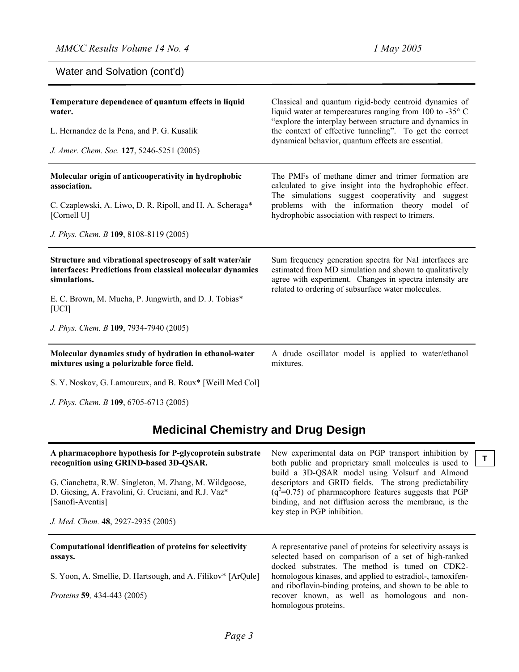**T**

Water and Solvation (cont'd)

| Temperature dependence of quantum effects in liquid<br>water.<br>L. Hernandez de la Pena, and P. G. Kusalik<br>J. Amer. Chem. Soc. 127, 5246-5251 (2005)                                                 | Classical and quantum rigid-body centroid dynamics of<br>liquid water at tempereatures ranging from 100 to -35 $\degree$ C<br>"explore the interplay between structure and dynamics in<br>the context of effective tunneling". To get the correct<br>dynamical behavior, quantum effects are essential. |
|----------------------------------------------------------------------------------------------------------------------------------------------------------------------------------------------------------|---------------------------------------------------------------------------------------------------------------------------------------------------------------------------------------------------------------------------------------------------------------------------------------------------------|
| Molecular origin of anticooperativity in hydrophobic<br>association.<br>C. Czaplewski, A. Liwo, D. R. Ripoll, and H. A. Scheraga*<br>[Cornell U]                                                         | The PMFs of methane dimer and trimer formation are<br>calculated to give insight into the hydrophobic effect.<br>The simulations suggest cooperativity and suggest<br>problems with the information theory model of<br>hydrophobic association with respect to trimers.                                 |
| J. Phys. Chem. B 109, 8108-8119 (2005)                                                                                                                                                                   |                                                                                                                                                                                                                                                                                                         |
| Structure and vibrational spectroscopy of salt water/air<br>interfaces: Predictions from classical molecular dynamics<br>simulations.<br>E. C. Brown, M. Mucha, P. Jungwirth, and D. J. Tobias*<br>[UCI] | Sum frequency generation spectra for NaI interfaces are<br>estimated from MD simulation and shown to qualitatively<br>agree with experiment. Changes in spectra intensity are<br>related to ordering of subsurface water molecules.                                                                     |
| J. Phys. Chem. B 109, 7934-7940 (2005)                                                                                                                                                                   |                                                                                                                                                                                                                                                                                                         |
| Molecular dynamics study of hydration in ethanol-water<br>mixtures using a polarizable force field.                                                                                                      | A drude oscillator model is applied to water/ethanol<br>mixtures.                                                                                                                                                                                                                                       |
|                                                                                                                                                                                                          |                                                                                                                                                                                                                                                                                                         |

*J. Phys. Chem. B* **109**, 6705-6713 (2005)

## **Medicinal Chemistry and Drug Design**

| A pharmacophore hypothesis for P-glycoprotein substrate<br>recognition using GRIND-based 3D-QSAR.<br>G. Cianchetta, R.W. Singleton, M. Zhang, M. Wildgoose,<br>D. Giesing, A. Fravolini, G. Cruciani, and R.J. Vaz*<br>[Sanofi-Aventis]<br>J. Med. Chem. 48, 2927-2935 (2005) | New experimental data on PGP transport inhibition by<br>both public and proprietary small molecules is used to<br>build a 3D-QSAR model using Volsurf and Almond<br>descriptors and GRID fields. The strong predictability<br>$(q^2=0.75)$ of pharmacophore features suggests that PGP<br>binding, and not diffusion across the membrane, is the<br>key step in PGP inhibition. |
|-------------------------------------------------------------------------------------------------------------------------------------------------------------------------------------------------------------------------------------------------------------------------------|---------------------------------------------------------------------------------------------------------------------------------------------------------------------------------------------------------------------------------------------------------------------------------------------------------------------------------------------------------------------------------|
| Computational identification of proteins for selectivity<br>assays.                                                                                                                                                                                                           | A representative panel of proteins for selectivity assays is<br>selected based on comparison of a set of high-ranked                                                                                                                                                                                                                                                            |
| S. Yoon, A. Smellie, D. Hartsough, and A. Filikov* [ArQule]                                                                                                                                                                                                                   | docked substrates. The method is tuned on CDK2-<br>homologous kinases, and applied to estradiol-, tamoxifen-<br>and riboflavin-binding proteins, and shown to be able to                                                                                                                                                                                                        |
| <i>Proteins</i> 59, 434-443 (2005)                                                                                                                                                                                                                                            | recover known, as well as homologous and non-<br>homologous proteins.                                                                                                                                                                                                                                                                                                           |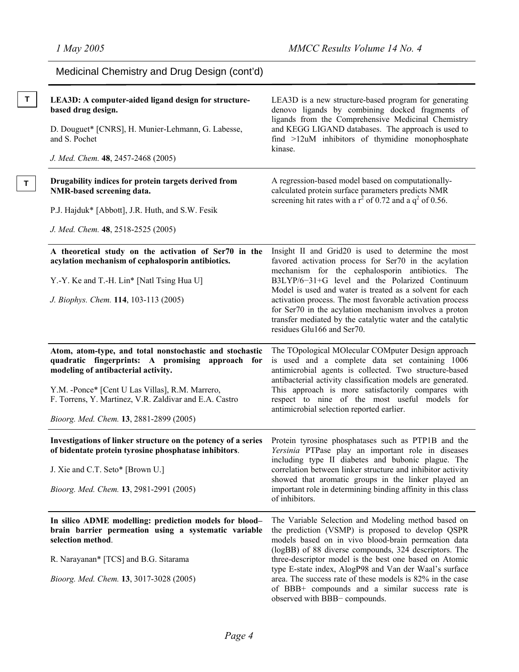| Medicinal Chemistry and Drug Design (cont'd)                                                                                                                               |                                                                                                                                                                                                                                |
|----------------------------------------------------------------------------------------------------------------------------------------------------------------------------|--------------------------------------------------------------------------------------------------------------------------------------------------------------------------------------------------------------------------------|
| LEA3D: A computer-aided ligand design for structure-<br>based drug design.                                                                                                 | LEA3D is a new structure-based program for generating<br>denovo ligands by combining docked fragments of<br>ligands from the Comprehensive Medicinal Chemistry                                                                 |
| D. Douguet* [CNRS], H. Munier-Lehmann, G. Labesse,<br>and S. Pochet                                                                                                        | and KEGG LIGAND databases. The approach is used to<br>find >12uM inhibitors of thymidine monophosphate<br>kinase.                                                                                                              |
| J. Med. Chem. 48, 2457-2468 (2005)                                                                                                                                         |                                                                                                                                                                                                                                |
| Drugability indices for protein targets derived from<br>NMR-based screening data.                                                                                          | A regression-based model based on computationally-<br>calculated protein surface parameters predicts NMR                                                                                                                       |
| P.J. Hajduk* [Abbott], J.R. Huth, and S.W. Fesik                                                                                                                           | screening hit rates with a $r^2$ of 0.72 and a $q^2$ of 0.56.                                                                                                                                                                  |
| J. Med. Chem. 48, 2518-2525 (2005)                                                                                                                                         |                                                                                                                                                                                                                                |
| A theoretical study on the activation of Ser70 in the<br>acylation mechanism of cephalosporin antibiotics.                                                                 | Insight II and Grid20 is used to determine the most<br>favored activation process for Ser70 in the acylation                                                                                                                   |
| Y.-Y. Ke and T.-H. Lin* [Natl Tsing Hua U]                                                                                                                                 | mechanism for the cephalosporin antibiotics. The<br>B3LYP/6-31+G level and the Polarized Continuum<br>Model is used and water is treated as a solvent for each                                                                 |
| J. Biophys. Chem. 114, 103-113 (2005)                                                                                                                                      | activation process. The most favorable activation process<br>for Ser70 in the acylation mechanism involves a proton<br>transfer mediated by the catalytic water and the catalytic<br>residues Glu166 and Ser70.                |
| Atom, atom-type, and total nonstochastic and stochastic<br>quadratic fingerprints: A promising approach<br>for<br>modeling of antibacterial activity.                      | The TOpological MOlecular COMputer Design approach<br>is used and a complete data set containing 1006<br>antimicrobial agents is collected. Two structure-based<br>antibacterial activity classification models are generated. |
| Y.M. -Ponce* [Cent U Las Villas], R.M. Marrero,<br>F. Torrens, Y. Martinez, V.R. Zaldivar and E.A. Castro                                                                  | This approach is more satisfactorily compares with<br>respect to nine of the most useful models for<br>antimicrobial selection reported earlier.                                                                               |
| Bioorg. Med. Chem. 13, 2881-2899 (2005)                                                                                                                                    |                                                                                                                                                                                                                                |
| Investigations of linker structure on the potency of a series Protein tyrosine phosphatases such as PTP1B and the<br>of bidentate protein tyrosine phosphatase inhibitors. | Yersinia PTPase play an important role in diseases<br>including type II diabetes and bubonic plague. The                                                                                                                       |
| J. Xie and C.T. Seto* [Brown U.]                                                                                                                                           | correlation between linker structure and inhibitor activity<br>showed that aromatic groups in the linker played an                                                                                                             |
| Bioorg. Med. Chem. 13, 2981-2991 (2005)                                                                                                                                    | important role in determining binding affinity in this class<br>of inhibitors.                                                                                                                                                 |
| In silico ADME modelling: prediction models for blood-<br>brain barrier permeation using a systematic variable<br>selection method.                                        | The Variable Selection and Modeling method based on<br>the prediction (VSMP) is proposed to develop QSPR<br>models based on in vivo blood-brain permeation data<br>(logBB) of 88 diverse compounds, 324 descriptors. The       |
| R. Narayanan* [TCS] and B.G. Sitarama                                                                                                                                      | three-descriptor model is the best one based on Atomic                                                                                                                                                                         |
| Bioorg. Med. Chem. 13, 3017-3028 (2005)                                                                                                                                    | type E-state index, AlogP98 and Van der Waal's surface<br>area. The success rate of these models is 82% in the case<br>of BBB+ compounds and a similar success rate is<br>observed with BBB- compounds.                        |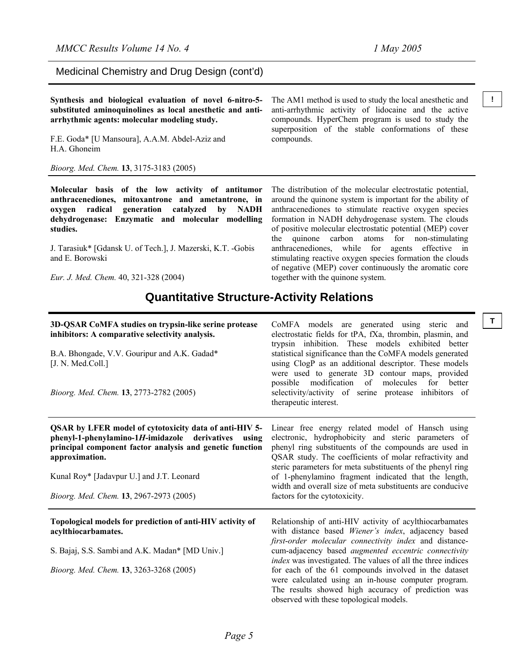Medicinal Chemistry and Drug Design (cont'd)

**Synthesis and biological evaluation of novel 6-nitro-5-** The AM1 method is used to study the local anesthetic and <sup>1</sup> **substituted aminoquinolines as local anesthetic and antiarrhythmic agents: molecular modeling study.** 

F.E. Goda\* [U Mansoura], A.A.M. Abdel-Aziz and H.A. Ghoneim

*Bioorg. Med. Chem.* **13**, 3175-3183 (2005)

**Molecular basis of the low activity of antitumor anthracenediones, mitoxantrone and ametantrone, in oxygen radical generation catalyzed by NADH dehydrogenase: Enzymatic and molecular modelling studies.** 

J. Tarasiuk\* [Gdansk U. of Tech.], J. Mazerski, K.T. -Gobis and E. Borowski

*Eur. J. Med. Chem.* 40, 321-328 (2004)

The AM1 method is used to study the local anesthetic and anti-arrhythmic activity of lidocaine and the active compounds. HyperChem program is used to study the superposition of the stable conformations of these compounds.

The distribution of the molecular electrostatic potential, around the quinone system is important for the ability of anthracenediones to stimulate reactive oxygen species formation in NADH dehydrogenase system. The clouds of positive molecular electrostatic potential (MEP) cover the quinone carbon atoms for non-stimulating anthracenediones, while for agents effective in stimulating reactive oxygen species formation the clouds of negative (MEP) cover continuously the aromatic core together with the quinone system.

### **Quantitative Structure-Activity Relations**

| 3D-QSAR CoMFA studies on trypsin-like serine protease<br>inhibitors: A comparative selectivity analysis.                                                                                    | Τ<br>CoMFA models are generated using steric and<br>electrostatic fields for tPA, fXa, thrombin, plasmin, and<br>trypsin inhibition. These models exhibited better                                                                                                                       |
|---------------------------------------------------------------------------------------------------------------------------------------------------------------------------------------------|------------------------------------------------------------------------------------------------------------------------------------------------------------------------------------------------------------------------------------------------------------------------------------------|
| B.A. Bhongade, V.V. Gouripur and A.K. Gadad*<br>[J. N. Med.Coll.]                                                                                                                           | statistical significance than the CoMFA models generated<br>using ClogP as an additional descriptor. These models<br>were used to generate 3D contour maps, provided                                                                                                                     |
| Bioorg. Med. Chem. 13, 2773-2782 (2005)                                                                                                                                                     | possible modification of molecules for better<br>selectivity/activity of serine protease inhibitors of<br>therapeutic interest.                                                                                                                                                          |
| QSAR by LFER model of cytotoxicity data of anti-HIV 5-<br>phenyl-1-phenylamino-1H-imidazole derivatives using<br>principal component factor analysis and genetic function<br>approximation. | Linear free energy related model of Hansch using<br>electronic, hydrophobicity and steric parameters of<br>phenyl ring substituents of the compounds are used in<br>QSAR study. The coefficients of molar refractivity and<br>steric parameters for meta substituents of the phenyl ring |
| Kunal Roy* [Jadavpur U.] and J.T. Leonard                                                                                                                                                   | of 1-phenylamino fragment indicated that the length,<br>width and overall size of meta substituents are conducive                                                                                                                                                                        |
| Bioorg. Med. Chem. 13, 2967-2973 (2005)                                                                                                                                                     | factors for the cytotoxicity.                                                                                                                                                                                                                                                            |
| Topological models for prediction of anti-HIV activity of<br>acylthiocarbamates.                                                                                                            | Relationship of anti-HIV activity of acylthiocarbamates<br>with distance based Wiener's index, adjacency based<br>first-order molecular connectivity index and distance-                                                                                                                 |
| S. Bajaj, S.S. Sambi and A.K. Madan* [MD Univ.]                                                                                                                                             | cum-adjacency based <i>augmented</i> eccentric connectivity<br>index was investigated. The values of all the three indices                                                                                                                                                               |
| Bioorg. Med. Chem. 13, 3263-3268 (2005)                                                                                                                                                     | for each of the 61 compounds involved in the dataset<br>were calculated using an in-house computer program.<br>The results showed high accuracy of prediction was<br>observed with these topological models.                                                                             |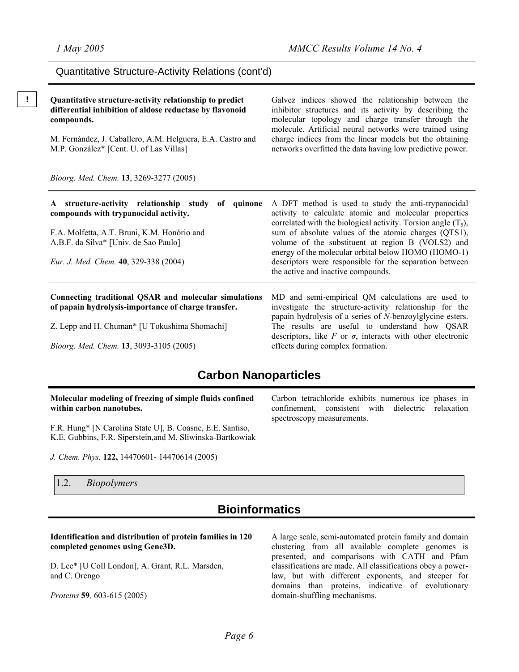charge indices from the linear models but the obtaining networks overfitted the data having low predictive power.

#### Quantitative Structure-Activity Relations (cont'd)

**! Quantitative structure-activity relationship to predict differential inhibition of aldose reductase by flavonoid compounds.**  Galvez indices showed the relationship between the inhibitor structures and its activity by describing the molecular topology and charge transfer through the molecule. Artificial neural networks were trained using

M. Fernández, J. Caballero, A.M. Helguera, E.A. Castro and M.P. González\* [Cent. U. of Las Villas]

*Bioorg. Med. Chem.* **13**, 3269-3277 (2005)

**A structure-activity relationship study of quinone compounds with trypanocidal activity.**  F.A. Molfetta, A.T. Bruni, K.M. Honório and A.B.F. da Silva\* [Univ. de Sao Paulo] *Eur. J. Med. Chem.* **40**, 329-338 (2004) A DFT method is used to study the anti-trypanocidal activity to calculate atomic and molecular properties correlated with the biological activity. Torsion angle  $(T_5)$ , sum of absolute values of the atomic charges (QTS1), volume of the substituent at region B (VOLS2) and energy of the molecular orbital below HOMO (HOMO-1) descriptors were responsible for the separation between the active and inactive compounds.

#### **Connecting traditional QSAR and molecular simulations of papain hydrolysis-importance of charge transfer.**

Z. Lepp and H. Chuman\* [U Tokushima Shomachi]

*Bioorg. Med. Chem.* **13**, 3093-3105 (2005)

MD and semi-empirical QM calculations are used to investigate the structure-activity relationship for the papain hydrolysis of a series of *N*-benzoylglycine esters. The results are useful to understand how QSAR descriptors, like  $F$  or  $\sigma$ , interacts with other electronic effects during complex formation.

Carbon tetrachloride exhibits numerous ice phases in confinement, consistent with dielectric relaxation

spectroscopy measurements.

### **Carbon Nanoparticles**

#### **Molecular modeling of freezing of simple fluids confined within carbon nanotubes.**

F.R. Hung\* [N Carolina State U], B. Coasne, E.E. Santiso, K.E. Gubbins, F.R. Siperstein,and M. Sliwinska-Bartkowiak

*J. Chem. Phys.* **122,** 14470601- 14470614 (2005)

1.2. *Biopolymers* 

### **Bioinformatics**

#### **Identification and distribution of protein families in 120 completed genomes using Gene3D.**

D. Lee\* [U Coll London], A. Grant, R.L. Marsden, and C. Orengo

*Proteins* **59***,* 603-615 (2005)

A large scale, semi-automated protein family and domain clustering from all available complete genomes is presented, and comparisons with CATH and Pfam classifications are made. All classifications obey a powerlaw, but with different exponents, and steeper for domains than proteins, indicative of evolutionary domain-shuffling mechanisms.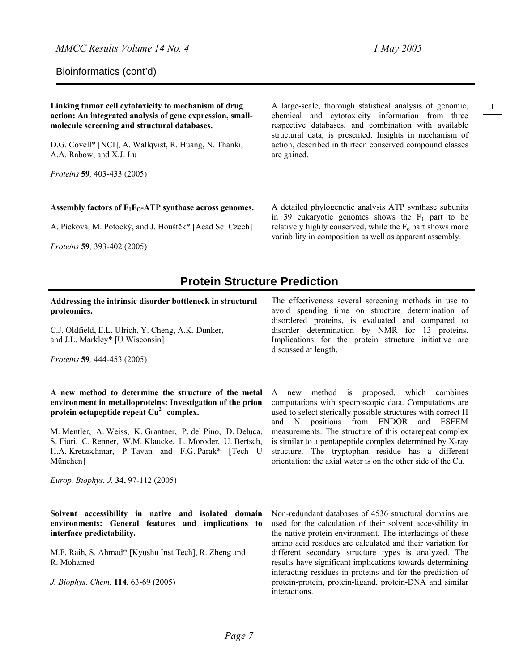Bioinformatics (cont'd)

#### **Linking tumor cell cytotoxicity to mechanism of drug !** A large-scale, thorough statistical analysis of genomic, **action: An integrated analysis of gene expression, smallmolecule screening and structural databases.**  D.G. Covell\* [NCI], A. Wallqvist, R. Huang, N. Thanki, A.A. Rabow, and X.J. Lu *Proteins* **59***,* 403-433 (2005) chemical and cytotoxicity information from three respective databases, and combination with available structural data, is presented. Insights in mechanism of action, described in thirteen conserved compound classes are gained.

#### Assembly factors of  $F_1F_0$ -ATP synthase across genomes.

A. Pícková, M. Potocký, and J. Houštěk\* [Acad Sci Czech]

*Proteins* **59***,* 393-402 (2005)

A detailed phylogenetic analysis ATP synthase subunits in 39 eukaryotic genomes shows the  $F_1$  part to be relatively highly conserved, while the  $F_0$  part shows more variability in composition as well as apparent assembly.

### **Protein Structure Prediction**

#### **Addressing the intrinsic disorder bottleneck in structural proteomics.**

C.J. Oldfield, E.L. Ulrich, Y. Cheng, A.K. Dunker, and J.L. Markley\* [U Wisconsin]

*Proteins* **59***,* 444-453 (2005)

#### The effectiveness several screening methods in use to avoid spending time on structure determination of disordered proteins, is evaluated and compared to disorder determination by NMR for 13 proteins. Implications for the protein structure initiative are discussed at length.

#### **A new method to determine the structure of the metal environment in metalloproteins: Investigation of the prion protein octapeptide repeat Cu2+ complex.**

M. Mentler, A. Weiss, K. Grantner, P. del Pino, D. Deluca, S. Fiori, C. Renner, W.M. Klaucke, L. Moroder, U. Bertsch, H.A. Kretzschmar, P. Tavan and F.G. Parak\* [Tech U München]

A new method is proposed, which combines computations with spectroscopic data. Computations are used to select sterically possible structures with correct H and N positions from ENDOR and ESEEM measurements. The structure of this octarepeat complex is similar to a pentapeptide complex determined by X-ray structure. The tryptophan residue has a different orientation: the axial water is on the other side of the Cu.

*Europ. Biophys. J.* **34,** 97-112 (2005)

**Solvent accessibility in native and isolated domain environments: General features and implications to interface predictability.** 

M.F. Raih, S. Ahmad\* [Kyushu Inst Tech], R. Zheng and R. Mohamed

*J. Biophys. Chem.* **114**, 63-69 (2005)

Non-redundant databases of 4536 structural domains are used for the calculation of their solvent accessibility in the native protein environment. The interfacings of these amino acid residues are calculated and their variation for different secondary structure types is analyzed. The results have significant implications towards determining interacting residues in proteins and for the prediction of protein-protein, protein-ligand, protein-DNA and similar interactions.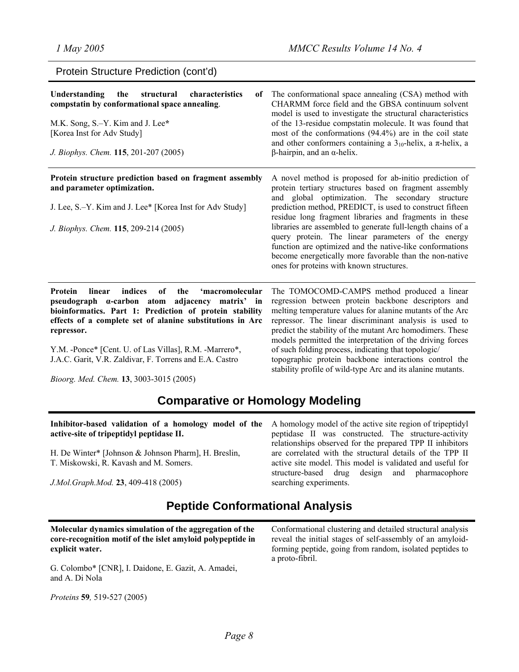Protein Structure Prediction (cont'd) **Understanding** the structural characteristics **compstatin by conformational space annealing**. M.K. Song, S.–Y. Kim and J. Lee**\***  [Korea Inst for Adv Study] *J. Biophys. Chem.* **115**, 201-207 (2005) of The conformational space annealing (CSA) method with CHARMM force field and the GBSA continuum solvent model is used to investigate the structural characteristics of the 13-residue compstatin molecule. It was found that most of the conformations (94.4%) are in the coil state and other conformers containing a  $3_{10}$ -helix, a  $\pi$ -helix, a β-hairpin, and an α-helix. **Protein structure prediction based on fragment assembly and parameter optimization.**  J. Lee, S.–Y. Kim and J. Lee\* [Korea Inst for Adv Study] *J. Biophys. Chem.* **115**, 209-214 (2005) A novel method is proposed for ab-initio prediction of protein tertiary structures based on fragment assembly and global optimization. The secondary structure prediction method, PREDICT, is used to construct fifteen residue long fragment libraries and fragments in these libraries are assembled to generate full-length chains of a query protein. The linear parameters of the energy function are optimized and the native-like conformations become energetically more favorable than the non-native ones for proteins with known structures. **Protein linear indices of the 'macromolecular** The TOMOCOMD-CAMPS method produced a linear regression between protein backbone descriptors and

**pseudograph α-carbon atom adjacency matrix' in bioinformatics. Part 1: Prediction of protein stability effects of a complete set of alanine substitutions in Arc repressor.**

Y.M. -Ponce\* [Cent. U. of Las Villas], R.M. -Marrero\*, J.A.C. Garit, V.R. Zaldivar, F. Torrens and E.A. Castro

repressor. The linear discriminant analysis is used to predict the stability of the mutant Arc homodimers. These models permitted the interpretation of the driving forces of such folding process, indicating that topologic/ topographic protein backbone interactions control the stability profile of wild-type Arc and its alanine mutants.

melting temperature values for alanine mutants of the Arc

*Bioorg. Med. Chem.* **13**, 3003-3015 (2005)

### **Comparative or Homology Modeling**

| Inhibitor-based validation of a homology model of the A homology model of the active site region of tripeptidyl | peptidase II was constructed. The structure-activity                    |
|-----------------------------------------------------------------------------------------------------------------|-------------------------------------------------------------------------|
| active-site of tripeptidyl peptidase II.                                                                        | relationships observed for the prepared TPP II inhibitors               |
| H. De Winter* [Johnson & Johnson Pharm], H. Breslin,                                                            | are correlated with the structural details of the TPP II                |
| T. Miskowski, R. Kavash and M. Somers.                                                                          | active site model. This model is validated and useful for               |
| J.Mol.Graph.Mod. 23, 409-418 (2005)                                                                             | structure-based drug design and pharmacophore<br>searching experiments. |
| Dentide Canformational Angluaio                                                                                 |                                                                         |

### **Peptide Conformational Analysis**

**Molecular dynamics simulation of the aggregation of the core-recognition motif of the islet amyloid polypeptide in explicit water.**

G. Colombo\* [CNR], I. Daidone, E. Gazit, A. Amadei, and A. Di Nola

*Proteins* **59***,* 519-527 (2005)

Conformational clustering and detailed structural analysis reveal the initial stages of self-assembly of an amyloidforming peptide, going from random, isolated peptides to a proto-fibril.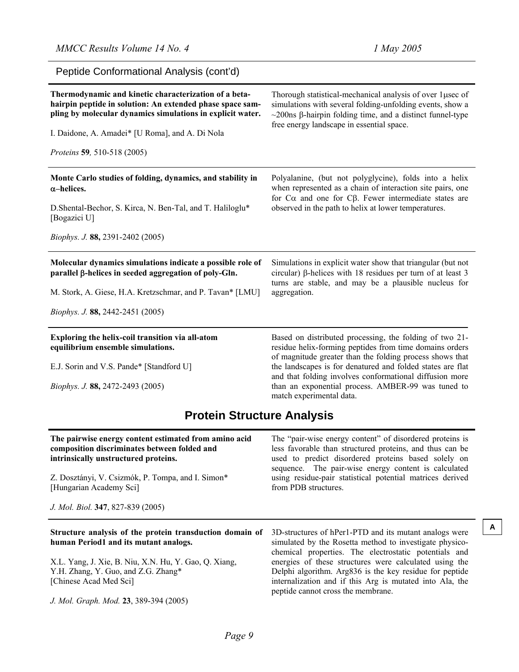| Peptide Conformational Analysis (cont'd)                                                                                                                                                                                                                           |                                                                                                                                                                                                                                                    |  |
|--------------------------------------------------------------------------------------------------------------------------------------------------------------------------------------------------------------------------------------------------------------------|----------------------------------------------------------------------------------------------------------------------------------------------------------------------------------------------------------------------------------------------------|--|
| Thermodynamic and kinetic characterization of a beta-<br>hairpin peptide in solution: An extended phase space sam-<br>pling by molecular dynamics simulations in explicit water.<br>I. Daidone, A. Amadei* [U Roma], and A. Di Nola<br>Proteins 59, 510-518 (2005) | Thorough statistical-mechanical analysis of over 1 usec of<br>simulations with several folding-unfolding events, show a<br>$\sim$ 200ns $\beta$ -hairpin folding time, and a distinct funnel-type<br>free energy landscape in essential space.     |  |
| Monte Carlo studies of folding, dynamics, and stability in<br>$\alpha$ -helices.<br>D. Shental-Bechor, S. Kirca, N. Ben-Tal, and T. Haliloglu*                                                                                                                     | Polyalanine, (but not polyglycine), folds into a helix<br>when represented as a chain of interaction site pairs, one<br>for $C\alpha$ and one for $C\beta$ . Fewer intermediate states are<br>observed in the path to helix at lower temperatures. |  |
| [Bogazici U]<br><i>Biophys. J.</i> 88, 2391-2402 (2005)                                                                                                                                                                                                            |                                                                                                                                                                                                                                                    |  |
| Molecular dynamics simulations indicate a possible role of<br>parallel β-helices in seeded aggregation of poly-Gln.<br>M. Stork, A. Giese, H.A. Kretzschmar, and P. Tavan* [LMU]                                                                                   | Simulations in explicit water show that triangular (but not<br>circular) β-helices with 18 residues per turn of at least 3<br>turns are stable, and may be a plausible nucleus for<br>aggregation.                                                 |  |
| Biophys. J. 88, 2442-2451 (2005)                                                                                                                                                                                                                                   |                                                                                                                                                                                                                                                    |  |
| Exploring the helix-coil transition via all-atom<br>equilibrium ensemble simulations.                                                                                                                                                                              | Based on distributed processing, the folding of two 21-<br>residue helix-forming peptides from time domains orders<br>of magnitude greater than the folding process shows that                                                                     |  |
| E.J. Sorin and V.S. Pande* [Standford U]                                                                                                                                                                                                                           | the landscapes is for denatured and folded states are flat<br>and that folding involves conformational diffusion more                                                                                                                              |  |
| Biophys. J. 88, 2472-2493 (2005)                                                                                                                                                                                                                                   | than an exponential process. AMBER-99 was tuned to<br>match experimental data.                                                                                                                                                                     |  |
| <b>Protein Structure Analysis</b>                                                                                                                                                                                                                                  |                                                                                                                                                                                                                                                    |  |

| The pairwise energy content estimated from amino acid<br>composition discriminates between folded and<br>intrinsically unstructured proteins.<br>Z. Dosztányi, V. Csizmók, P. Tompa, and I. Simon*<br>[Hungarian Academy Sci] | The "pair-wise energy content" of disordered proteins is<br>less favorable than structured proteins, and thus can be<br>used to predict disordered proteins based solely on<br>sequence. The pair-wise energy content is calculated<br>using residue-pair statistical potential matrices derived<br>from PDB structures. |
|-------------------------------------------------------------------------------------------------------------------------------------------------------------------------------------------------------------------------------|--------------------------------------------------------------------------------------------------------------------------------------------------------------------------------------------------------------------------------------------------------------------------------------------------------------------------|
| J. Mol. Biol. 347, 827-839 (2005)                                                                                                                                                                                             |                                                                                                                                                                                                                                                                                                                          |
| Structure analysis of the protein transduction domain of<br>human Period1 and its mutant analogs.                                                                                                                             | A<br>3D-structures of hPer1-PTD and its mutant analogs were<br>simulated by the Rosetta method to investigate physico-<br>chemical properties. The electrostatic potentials and                                                                                                                                          |
| X.L. Yang, J. Xie, B. Niu, X.N. Hu, Y. Gao, Q. Xiang,<br>Y.H. Zhang, Y. Guo, and Z.G. Zhang*<br>[Chinese Acad Med Sci]                                                                                                        | energies of these structures were calculated using the<br>Delphi algorithm. Arg836 is the key residue for peptide<br>internalization and if this Arg is mutated into Ala, the                                                                                                                                            |

peptide cannot cross the membrane.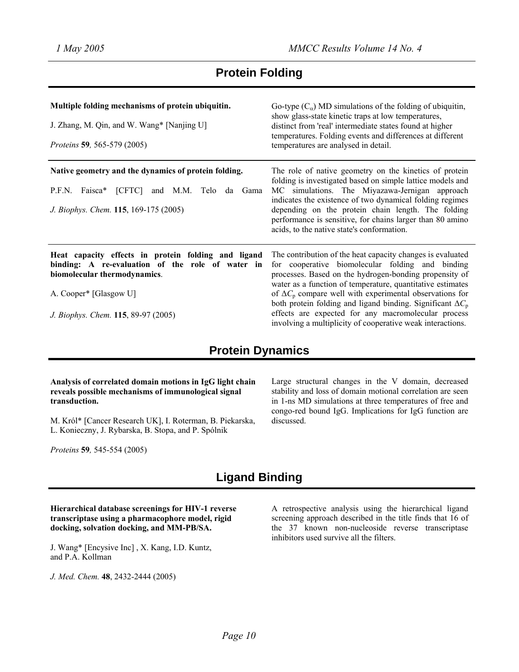## **Protein Folding**

| Multiple folding mechanisms of protein ubiquitin.<br>J. Zhang, M. Qin, and W. Wang* [Nanjing U]<br><i>Proteins</i> 59, 565-579 (2005)                                                                    | Go-type $(C_{\alpha})$ MD simulations of the folding of ubiquitin,<br>show glass-state kinetic traps at low temperatures,<br>distinct from 'real' intermediate states found at higher<br>temperatures. Folding events and differences at different<br>temperatures are analysed in detail.                                                                                                                                                                                                                     |
|----------------------------------------------------------------------------------------------------------------------------------------------------------------------------------------------------------|----------------------------------------------------------------------------------------------------------------------------------------------------------------------------------------------------------------------------------------------------------------------------------------------------------------------------------------------------------------------------------------------------------------------------------------------------------------------------------------------------------------|
| Native geometry and the dynamics of protein folding.<br>and M.M. Telo da Gama<br>P.F.N. Faisca*<br>[CFTC]<br>J. Biophys. Chem. 115, 169-175 (2005)                                                       | The role of native geometry on the kinetics of protein<br>folding is investigated based on simple lattice models and<br>MC simulations. The Miyazawa-Jernigan approach<br>indicates the existence of two dynamical folding regimes<br>depending on the protein chain length. The folding<br>performance is sensitive, for chains larger than 80 amino<br>acids, to the native state's conformation.                                                                                                            |
| Heat capacity effects in protein folding and ligand<br>binding: A re-evaluation of the role of water in<br>biomolecular thermodynamics.<br>A. Cooper* [Glasgow U]<br>J. Biophys. Chem. 115, 89-97 (2005) | The contribution of the heat capacity changes is evaluated<br>for cooperative biomolecular folding and binding<br>processes. Based on the hydrogen-bonding propensity of<br>water as a function of temperature, quantitative estimates<br>of $\Delta C$ <sub>p</sub> compare well with experimental observations for<br>both protein folding and ligand binding. Significant $\Delta C_p$<br>effects are expected for any macromolecular process<br>involving a multiplicity of cooperative weak interactions. |

### **Protein Dynamics**

#### **Analysis of correlated domain motions in IgG light chain reveals possible mechanisms of immunological signal transduction.**

M. Król\* [Cancer Research UK], I. Roterman, B. Piekarska, L. Konieczny, J. Rybarska, B. Stopa, and P. Spólnik

*Proteins* **59***,* 545-554 (2005)

Large structural changes in the V domain, decreased stability and loss of domain motional correlation are seen in 1-ns MD simulations at three temperatures of free and congo-red bound IgG. Implications for IgG function are discussed.

## **Ligand Binding**

#### **Hierarchical database screenings for HIV-1 reverse transcriptase using a pharmacophore model, rigid docking, solvation docking, and MM-PB/SA.**

J. Wang\* [Encysive Inc] , X. Kang, I.D. Kuntz, and P.A. Kollman

*J. Med. Chem.* **48**, 2432-2444 (2005)

A retrospective analysis using the hierarchical ligand screening approach described in the title finds that 16 of the 37 known non-nucleoside reverse transcriptase inhibitors used survive all the filters.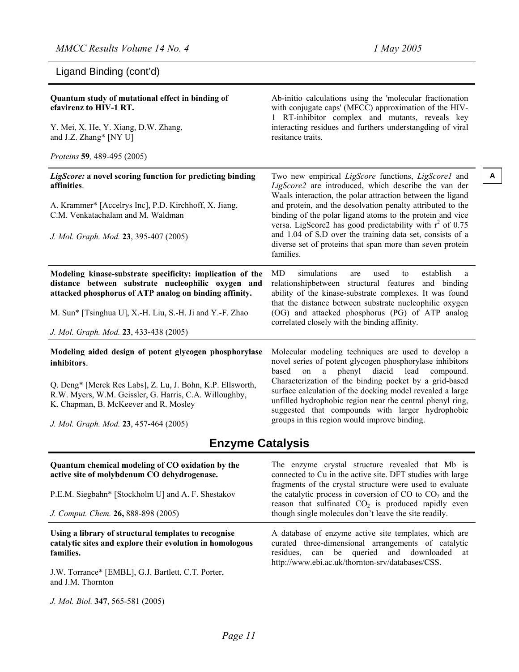Ligand Binding (cont'd)

| Quantum study of mutational effect in binding of<br>efavirenz to HIV-1 RT.                                                                                                | Ab-initio calculations using the 'molecular fractionation<br>with conjugate caps' (MFCC) approximation of the HIV-<br>1 RT-inhibitor complex and mutants, reveals key                                                                    |  |
|---------------------------------------------------------------------------------------------------------------------------------------------------------------------------|------------------------------------------------------------------------------------------------------------------------------------------------------------------------------------------------------------------------------------------|--|
| Y. Mei, X. He, Y. Xiang, D.W. Zhang,<br>and J.Z. Zhang* [NY U]                                                                                                            | interacting residues and furthers understangding of viral<br>resitance traits.                                                                                                                                                           |  |
| Proteins 59, 489-495 (2005)                                                                                                                                               |                                                                                                                                                                                                                                          |  |
| LigScore: a novel scoring function for predicting binding<br>affinities.                                                                                                  | Two new empirical LigScore functions, LigScore1 and<br>A<br>LigScore2 are introduced, which describe the van der<br>Waals interaction, the polar attraction between the ligand                                                           |  |
| A. Krammer* [Accelrys Inc], P.D. Kirchhoff, X. Jiang,<br>C.M. Venkatachalam and M. Waldman                                                                                | and protein, and the desolvation penalty attributed to the<br>binding of the polar ligand atoms to the protein and vice<br>versa. LigScore2 has good predictability with $r^2$ of 0.75                                                   |  |
| J. Mol. Graph. Mod. 23, 395-407 (2005)                                                                                                                                    | and 1.04 of S.D over the training data set, consists of a<br>diverse set of proteins that span more than seven protein<br>families.                                                                                                      |  |
| Modeling kinase-substrate specificity: implication of the<br>distance between substrate nucleophilic oxygen and<br>attacked phosphorus of ATP analog on binding affinity. | MD<br>simulations<br>used<br>establish<br>are<br>to<br>a<br>relationshipbetween structural features<br>and binding<br>ability of the kinase-substrate complexes. It was found<br>that the distance between substrate nucleophilic oxygen |  |
| M. Sun* [Tsinghua U], X.-H. Liu, S.-H. Ji and Y.-F. Zhao                                                                                                                  | (OG) and attacked phosphorus (PG) of ATP analog<br>correlated closely with the binding affinity.                                                                                                                                         |  |
| J. Mol. Graph. Mod. 23, 433-438 (2005)                                                                                                                                    |                                                                                                                                                                                                                                          |  |
| Modeling aided design of potent glycogen phosphorylase<br>inhibitors.                                                                                                     | Molecular modeling techniques are used to develop a<br>novel series of potent glycogen phosphorylase inhibitors<br>based<br>phenyl<br>diacid<br>lead<br>compound.<br>on<br>a                                                             |  |
| Q. Deng* [Merck Res Labs], Z. Lu, J. Bohn, K.P. Ellsworth,<br>R.W. Myers, W.M. Geissler, G. Harris, C.A. Willoughby,<br>K. Chapman, B. McKeever and R. Mosley             | Characterization of the binding pocket by a grid-based<br>surface calculation of the docking model revealed a large<br>unfilled hydrophobic region near the central phenyl ring,<br>suggested that compounds with larger hydrophobic     |  |
| J. Mol. Graph. Mod. 23, 457-464 (2005)                                                                                                                                    | groups in this region would improve binding.                                                                                                                                                                                             |  |
| <b>Enzyme Catalysis</b>                                                                                                                                                   |                                                                                                                                                                                                                                          |  |
| Quantum chemical modeling of CO oxidation by the<br>active site of molybdenum CO dehydrogenase.                                                                           | The enzyme crystal structure revealed that Mb is<br>connected to Cu in the active site. DFT studies with large<br>fragments of the crystal structure were used to evaluate                                                               |  |
| P.E.M. Siegbahn* [Stockholm U] and A. F. Shestakov                                                                                                                        | the catalytic process in coversion of $CO$ to $CO2$ and the<br>reason that sulfinated CO <sub>2</sub> is produced rapidly even                                                                                                           |  |
| J. Comput. Chem. 26, 888-898 (2005)                                                                                                                                       | though single molecules don't leave the site readily.                                                                                                                                                                                    |  |
| Using a library of structural templates to recognise<br>catalytic sites and explore their evolution in homologous<br>families.                                            | A database of enzyme active site templates, which are<br>curated three-dimensional arrangements of catalytic<br>residues, can be queried<br>and<br>downloaded<br>at<br>http://www.ebi.ac.uk/thornton-srv/databases/CSS.                  |  |

J.W. Torrance\* [EMBL], G.J. Bartlett, C.T. Porter, and J.M. Thornton

*J. Mol. Biol.* **347**, 565-581 (2005)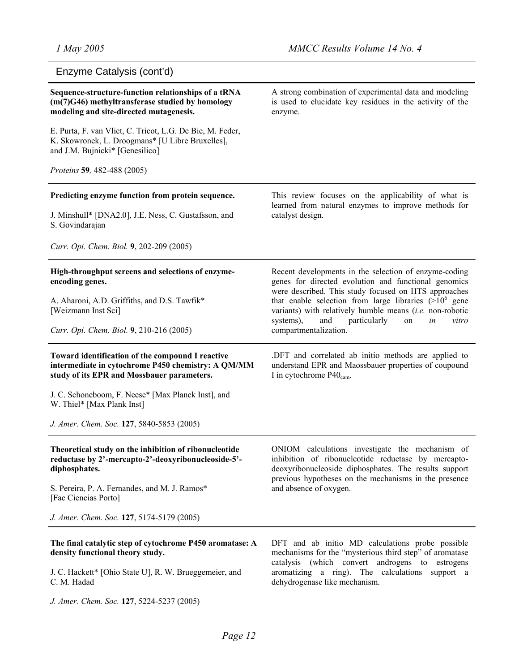| Enzyme Catalysis (cont'd)                                                                                                                            |                                                                                                                                                                                                                          |
|------------------------------------------------------------------------------------------------------------------------------------------------------|--------------------------------------------------------------------------------------------------------------------------------------------------------------------------------------------------------------------------|
| Sequence-structure-function relationships of a tRNA<br>(m(7)G46) methyltransferase studied by homology<br>modeling and site-directed mutagenesis.    | A strong combination of experimental data and modeling<br>is used to elucidate key residues in the activity of the<br>enzyme.                                                                                            |
| E. Purta, F. van Vliet, C. Tricot, L.G. De Bie, M. Feder,<br>K. Skowronek, L. Droogmans* [U Libre Bruxelles],<br>and J.M. Bujnicki* [Genesilico]     |                                                                                                                                                                                                                          |
| Proteins 59, 482-488 (2005)                                                                                                                          |                                                                                                                                                                                                                          |
| Predicting enzyme function from protein sequence.                                                                                                    | This review focuses on the applicability of what is<br>learned from natural enzymes to improve methods for                                                                                                               |
| J. Minshull* [DNA2.0], J.E. Ness, C. Gustafsson, and<br>S. Govindarajan                                                                              | catalyst design.                                                                                                                                                                                                         |
| Curr. Opi. Chem. Biol. 9, 202-209 (2005)                                                                                                             |                                                                                                                                                                                                                          |
| High-throughput screens and selections of enzyme-<br>encoding genes.                                                                                 | Recent developments in the selection of enzyme-coding<br>genes for directed evolution and functional genomics<br>were described. This study focused on HTS approaches                                                    |
| A. Aharoni, A.D. Griffiths, and D.S. Tawfik*<br>[Weizmann Inst Sci]                                                                                  | that enable selection from large libraries $(>10^6$ gene<br>variants) with relatively humble means $(i.e.$ non-robotic<br>particularly<br>systems),<br>and<br>on<br>in<br>vitro                                          |
| Curr. Opi. Chem. Biol. 9, 210-216 (2005)                                                                                                             | compartmentalization.                                                                                                                                                                                                    |
| Toward identification of the compound I reactive<br>intermediate in cytochrome P450 chemistry: A QM/MM<br>study of its EPR and Mossbauer parameters. | .DFT and correlated ab initio methods are applied to<br>understand EPR and Maossbauer properties of coupound<br>I in cytochrome $P40_{cam}$ .                                                                            |
| J. C. Schoneboom, F. Neese* [Max Planck Inst], and<br>W. Thiel* [Max Plank Inst]                                                                     |                                                                                                                                                                                                                          |
| J. Amer. Chem. Soc. 127, 5840-5853 (2005)                                                                                                            |                                                                                                                                                                                                                          |
| Theoretical study on the inhibition of ribonucleotide<br>reductase by 2'-mercapto-2'-deoxyribonucleoside-5'-<br>diphosphates.                        | ONIOM calculations investigate the mechanism of<br>inhibition of ribonucleotide reductase by mercapto-<br>deoxyribonucleoside diphosphates. The results support<br>previous hypotheses on the mechanisms in the presence |
| S. Pereira, P. A. Fernandes, and M. J. Ramos*<br>[Fac Ciencias Porto]                                                                                | and absence of oxygen.                                                                                                                                                                                                   |
| J. Amer. Chem. Soc. 127, 5174-5179 (2005)                                                                                                            |                                                                                                                                                                                                                          |
| The final catalytic step of cytochrome P450 aromatase: A<br>density functional theory study.                                                         | DFT and ab initio MD calculations probe possible<br>mechanisms for the "mysterious third step" of aromatase<br>catalysis (which convert androgens to estrogens                                                           |
| J. C. Hackett* [Ohio State U], R. W. Brueggemeier, and<br>C. M. Hadad                                                                                | aromatizing a ring). The calculations support a<br>dehydrogenase like mechanism.                                                                                                                                         |

*J. Amer. Chem. Soc.* **127**, 5224-5237 (2005)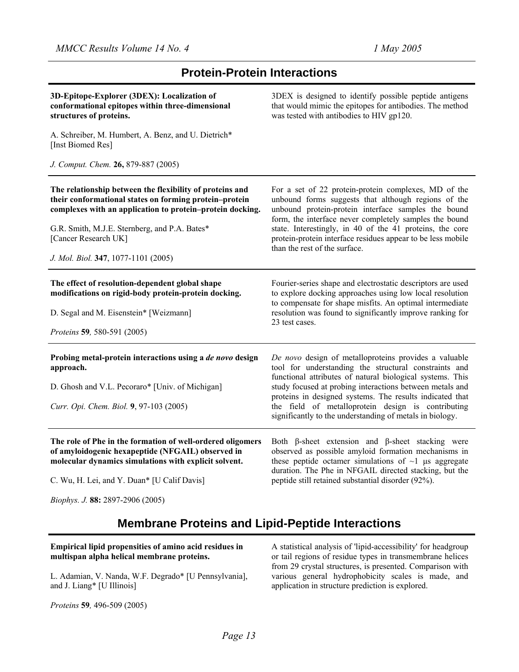### **Protein-Protein Interactions**

| 3D-Epitope-Explorer (3DEX): Localization of<br>conformational epitopes within three-dimensional<br>structures of proteins.                                                      | 3DEX is designed to identify possible peptide antigens<br>that would mimic the epitopes for antibodies. The method<br>was tested with antibodies to HIV gp120.                                                                                 |
|---------------------------------------------------------------------------------------------------------------------------------------------------------------------------------|------------------------------------------------------------------------------------------------------------------------------------------------------------------------------------------------------------------------------------------------|
| A. Schreiber, M. Humbert, A. Benz, and U. Dietrich*<br>[Inst Biomed Res]                                                                                                        |                                                                                                                                                                                                                                                |
| J. Comput. Chem. 26, 879-887 (2005)                                                                                                                                             |                                                                                                                                                                                                                                                |
| The relationship between the flexibility of proteins and<br>their conformational states on forming protein-protein<br>complexes with an application to protein-protein docking. | For a set of 22 protein-protein complexes, MD of the<br>unbound forms suggests that although regions of the<br>unbound protein-protein interface samples the bound<br>form, the interface never completely samples the bound                   |
| G.R. Smith, M.J.E. Sternberg, and P.A. Bates*<br>[Cancer Research UK]                                                                                                           | state. Interestingly, in 40 of the 41 proteins, the core<br>protein-protein interface residues appear to be less mobile<br>than the rest of the surface.                                                                                       |
| J. Mol. Biol. 347, 1077-1101 (2005)                                                                                                                                             |                                                                                                                                                                                                                                                |
| The effect of resolution-dependent global shape<br>modifications on rigid-body protein-protein docking.                                                                         | Fourier-series shape and electrostatic descriptors are used<br>to explore docking approaches using low local resolution<br>to compensate for shape misfits. An optimal intermediate                                                            |
| D. Segal and M. Eisenstein* [Weizmann]                                                                                                                                          | resolution was found to significantly improve ranking for<br>23 test cases.                                                                                                                                                                    |
| Proteins 59, 580-591 (2005)                                                                                                                                                     |                                                                                                                                                                                                                                                |
| Probing metal-protein interactions using a de novo design<br>approach.                                                                                                          | De novo design of metalloproteins provides a valuable<br>tool for understanding the structural constraints and<br>functional attributes of natural biological systems. This                                                                    |
| D. Ghosh and V.L. Pecoraro* [Univ. of Michigan]                                                                                                                                 | study focused at probing interactions between metals and<br>proteins in designed systems. The results indicated that                                                                                                                           |
| Curr. Opi. Chem. Biol. 9, 97-103 (2005)                                                                                                                                         | the field of metalloprotein design is contributing<br>significantly to the understanding of metals in biology.                                                                                                                                 |
| The role of Phe in the formation of well-ordered oligomers<br>of amyloidogenic hexapeptide (NFGAIL) observed in<br>molecular dynamics simulations with explicit solvent.        | Both $\beta$ -sheet extension and $\beta$ -sheet stacking were<br>observed as possible amyloid formation mechanisms in<br>these peptide octamer simulations of $\sim$ 1 µs aggregate<br>duration. The Phe in NFGAIL directed stacking, but the |
| C. Wu, H. Lei, and Y. Duan* [U Calif Davis]                                                                                                                                     | peptide still retained substantial disorder (92%).                                                                                                                                                                                             |

*Biophys. J.* **88:** 2897-2906 (2005)

### **Membrane Proteins and Lipid-Peptide Interactions**

#### **Empirical lipid propensities of amino acid residues in multispan alpha helical membrane proteins.**

L. Adamian, V. Nanda, W.F. Degrado\* [U Pennsylvania], and J. Liang\* [U Illinois]

A statistical analysis of 'lipid-accessibility' for headgroup or tail regions of residue types in transmembrane helices from 29 crystal structures, is presented. Comparison with various general hydrophobicity scales is made, and application in structure prediction is explored.

*Proteins* **59***,* 496-509 (2005)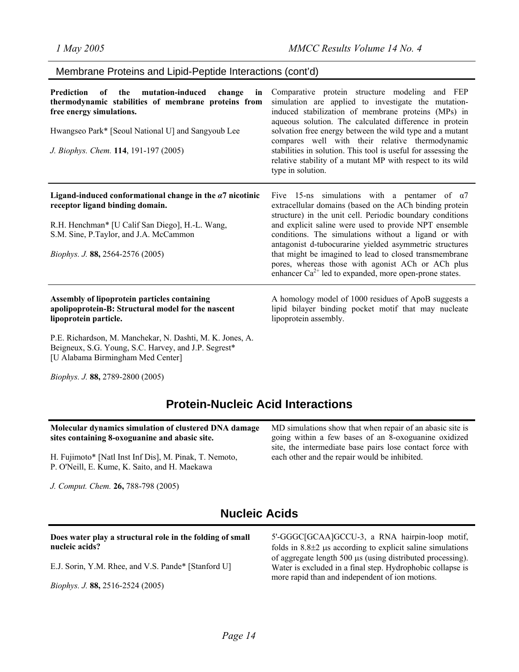### Membrane Proteins and Lipid-Peptide Interactions (cont'd)

| Prediction of the mutation-induced change<br>in<br>thermodynamic stabilities of membrane proteins from<br>free energy simulations.<br>Hwangseo Park* [Seoul National U] and Sangyoub Lee<br>J. Biophys. Chem. 114, 191-197 (2005)     | Comparative protein structure modeling and FEP<br>simulation are applied to investigate the mutation-<br>induced stabilization of membrane proteins (MPs) in<br>aqueous solution. The calculated difference in protein<br>solvation free energy between the wild type and a mutant<br>compares well with their relative thermodynamic<br>stabilities in solution. This tool is useful for assessing the<br>relative stability of a mutant MP with respect to its wild<br>type in solution.                                             |
|---------------------------------------------------------------------------------------------------------------------------------------------------------------------------------------------------------------------------------------|----------------------------------------------------------------------------------------------------------------------------------------------------------------------------------------------------------------------------------------------------------------------------------------------------------------------------------------------------------------------------------------------------------------------------------------------------------------------------------------------------------------------------------------|
| Ligand-induced conformational change in the $a7$ nicotinic<br>receptor ligand binding domain.<br>R.H. Henchman* [U Calif San Diego], H.-L. Wang,<br>S.M. Sine, P.Taylor, and J.A. McCammon<br><i>Biophys. J.</i> 88, 2564-2576 (2005) | Five 15-ns simulations with a pentamer of $\alpha$ 7<br>extracellular domains (based on the ACh binding protein<br>structure) in the unit cell. Periodic boundary conditions<br>and explicit saline were used to provide NPT ensemble<br>conditions. The simulations without a ligand or with<br>antagonist d-tubocurarine yielded asymmetric structures<br>that might be imagined to lead to closed transmembrane<br>pores, whereas those with agonist ACh or ACh plus<br>enhancer $Ca^{2+}$ led to expanded, more open-prone states. |
| Assembly of lipoprotein particles containing<br>apolipoprotein-B: Structural model for the nascent<br>lipoprotein particle.                                                                                                           | A homology model of 1000 residues of ApoB suggests a<br>lipid bilayer binding pocket motif that may nucleate<br>lipoprotein assembly.                                                                                                                                                                                                                                                                                                                                                                                                  |

P.E. Richardson, M. Manchekar, N. Dashti, M. K. Jones, A. Beigneux, S.G. Young, S.C. Harvey, and J.P. Segrest\* [U Alabama Birmingham Med Center]

*Biophys. J.* **88,** 2789-2800 (2005)

### **Protein-Nucleic Acid Interactions**

| Molecular dynamics simulation of clustered DNA damage  | MD simulations show that when repair of an abasic site is |
|--------------------------------------------------------|-----------------------------------------------------------|
| sites containing 8-oxoguanine and abasic site.         | going within a few bases of an 8-oxoguanine oxidized      |
| H. Fujimoto* [Natl Inst Inf Dis], M. Pinak, T. Nemoto, | site, the intermediate base pairs lose contact force with |
| P. O'Neill, E. Kume, K. Saito, and H. Maekawa          | each other and the repair would be inhibited.             |
| J. Comput. Chem. 26, 788-798 (2005)                    |                                                           |

### **Nucleic Acids**

#### **Does water play a structural role in the folding of small nucleic acids?**

E.J. Sorin, Y.M. Rhee, and V.S. Pande\* [Stanford U]

*Biophys. J.* **88,** 2516-2524 (2005)

5'-GGGC[GCAA]GCCU-3, a RNA hairpin-loop motif, folds in  $8.8\pm2$  µs according to explicit saline simulations of aggregate length 500 µs (using distributed processing). Water is excluded in a final step. Hydrophobic collapse is more rapid than and independent of ion motions.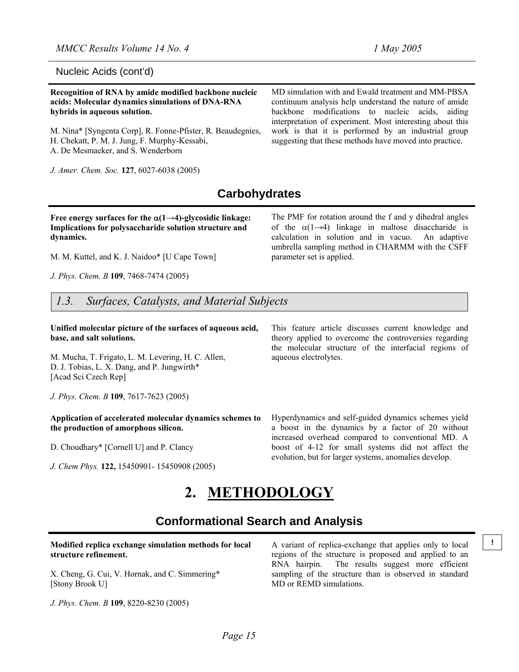#### Nucleic Acids (cont'd)

**Recognition of RNA by amide modified backbone nucleic acids: Molecular dynamics simulations of DNA-RNA hybrids in aqueous solution.**

M. Nina\* [Syngenta Corp], R. Fonne-Pfister, R. Beaudegnies, H. Chekatt, P. M. J. Jung, F. Murphy-Kessabi, A. De Mesmaeker, and S. Wenderborn

*J. Amer. Chem. Soc.* **127**, 6027-6038 (2005)

MD simulation with and Ewald treatment and MM-PBSA continuum analysis help understand the nature of amide backbone modifications to nucleic acids, aiding interpretation of experiment. Most interesting about this work is that it is performed by an industrial group suggesting that these methods have moved into practice.

The PMF for rotation around the f and y dihedral angles of the  $\alpha(1\rightarrow 4)$  linkage in maltose disaccharide is calculation in solution and in vacuo. An adaptive umbrella sampling method in CHARMM with the CSFF

### **Carbohydrates**

parameter set is applied.

Free energy surfaces for the  $\alpha(1\rightarrow4)$ -glycosidic linkage: **Implications for polysaccharide solution structure and dynamics.**

M. M. Kuttel, and K. J. Naidoo\* [U Cape Town]

*J. Phys. Chem. B* **109**, 7468-7474 (2005)

*1.3. Surfaces, Catalysts, and Material Subjects*

**Unified molecular picture of the surfaces of aqueous acid, base, and salt solutions.**

M. Mucha, T. Frigato, L. M. Levering, H. C. Allen, D. J. Tobias, L. X. Dang, and P. Jungwirth\* [Acad Sci Czech Rep]

*J. Phys. Chem. B* **109**, 7617-7623 (2005)

#### **Application of accelerated molecular dynamics schemes to the production of amorphous silicon.**

D. Choudhary\* [Cornell U] and P. Clancy

*J. Chem Phys.* **122,** 15450901- 15450908 (2005)

This feature article discusses current knowledge and theory applied to overcome the controversies regarding the molecular structure of the interfacial regions of aqueous electrolytes.

Hyperdynamics and self-guided dynamics schemes yield a boost in the dynamics by a factor of 20 without increased overhead compared to conventional MD. A boost of 4-12 for small systems did not affect the evolution, but for larger systems, anomalies develop.

# **2. METHODOLOGY**

### **Conformational Search and Analysis**

**Modified replica exchange simulation methods for local** A variant of replica-exchange that applies only to local  $\vert$ ! **structure refinement.**

X. Cheng, G. Cui, V. Hornak, and C. Simmering\* [Stony Brook U]

*J. Phys. Chem. B* **109**, 8220-8230 (2005)

A variant of replica-exchange that applies only to local regions of the structure is proposed and applied to an RNA hairpin. The results suggest more efficient sampling of the structure than is observed in standard MD or REMD simulations.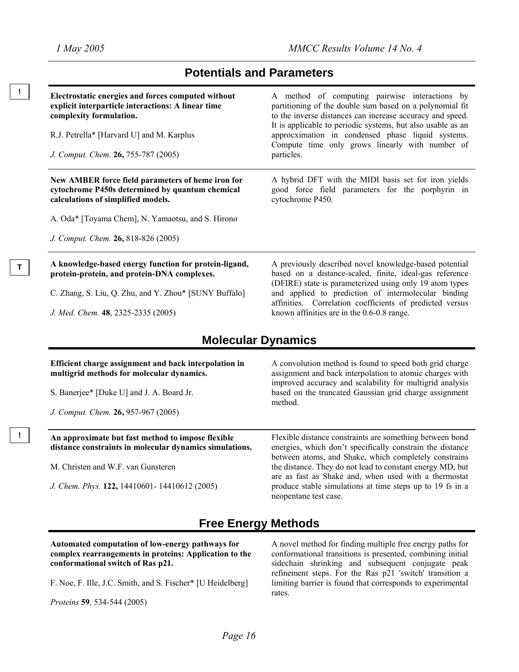**!** 

**T** 

**!** 

### **Potentials and Parameters**

| Electrostatic energies and forces computed without<br>explicit interparticle interactions: A linear time<br>complexity formulation.        | A method of computing pairwise interactions by<br>partitioning of the double sum based on a polynomial fit<br>to the inverse distances can increase accuracy and speed.           |  |
|--------------------------------------------------------------------------------------------------------------------------------------------|-----------------------------------------------------------------------------------------------------------------------------------------------------------------------------------|--|
| R.J. Petrella* [Harvard U] and M. Karplus<br>J. Comput. Chem. 26, 755-787 (2005)                                                           | It is applicable to periodic systems, but also usable as an<br>approcximation in condensed phase liquid systems.<br>Compute time only grows linearly with number of<br>particles. |  |
| New AMBER force field parameters of heme iron for<br>cytochrome P450s determined by quantum chemical<br>calculations of simplified models. | A hybrid DFT with the MIDI basis set for iron yields<br>good force field parameters for the porphyrin in<br>cytochrome P450.                                                      |  |
| A. Oda* [Toyama Chem], N. Yamaotsu, and S. Hirono                                                                                          |                                                                                                                                                                                   |  |
| J. Comput. Chem. 26, 818-826 (2005)                                                                                                        |                                                                                                                                                                                   |  |
| A knowledge-based energy function for protein-ligand,<br>protein-protein, and protein-DNA complexes.                                       | A previously described novel knowledge-based potential<br>based on a distance-scaled, finite, ideal-gas reference<br>(DFIRE) state is parameterized using only 19 atom types      |  |
| C. Zhang, S. Liu, Q. Zhu, and Y. Zhou* [SUNY Buffalo]                                                                                      | and applied to prediction of intermolecular binding<br>affinities. Correlation coefficients of predicted versus                                                                   |  |
| J. Med. Chem. 48, 2325-2335 (2005)                                                                                                         | known affinities are in the $0.6$ - $0.8$ range.                                                                                                                                  |  |
| <b>Molecular Dynamics</b>                                                                                                                  |                                                                                                                                                                                   |  |

### **Molecular Dynamics**

| Efficient charge assignment and back interpolation in<br>multigrid methods for molecular dynamics.<br>S. Banerjee* [Duke U] and J. A. Board Jr. | A convolution method is found to speed both grid charge<br>assignment and back interpolation to atomic charges with<br>improved accuracy and scalability for multigrid analysis<br>based on the truncated Gaussian grid charge assignment<br>method. |
|-------------------------------------------------------------------------------------------------------------------------------------------------|------------------------------------------------------------------------------------------------------------------------------------------------------------------------------------------------------------------------------------------------------|
|                                                                                                                                                 |                                                                                                                                                                                                                                                      |
| An approximate but fast method to impose flexible                                                                                               | Flexible distance constraints are something between bond                                                                                                                                                                                             |
| distance constraints in molecular dynamics simulations.                                                                                         | energies, which don't specifically constrain the distance<br>between atoms, and Shake, which completely constrains                                                                                                                                   |

lly constrain the distance ich completely constrains o constant energy MD, but are as fast as Shake and, when used with a thermostat produce stable simulations at time steps up to 19 fs in a neopentane test case.

### **Free Energy Methods**

**Automated computation of low-energy pathways for complex rearrangements in proteins: Application to the conformational switch of Ras p21.**

*J. Chem. Phys.* **122,** 14410601- 14410612 (2005)

F. Noe, F. Ille, J.C. Smith, and S. Fischer\* [U Heidelberg]

*Proteins* **59***,* 534-544 (2005)

A novel method for finding multiple free energy paths for conformational transitions is presented, combining initial sidechain shrinking and subsequent conjugate peak refinement steps. For the Ras p21 'switch' transition a limiting barrier is found that corresponds to experimental rates.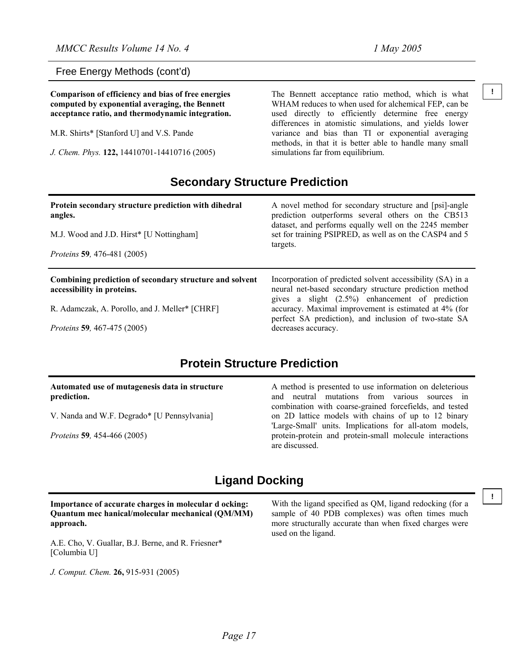Free Energy Methods (cont'd)

**computed by exponential averaging, the Bennett acceptance ratio, and thermodynamic integration.** 

M.R. Shirts\* [Stanford U] and V.S. Pande

*J. Chem. Phys.* **122,** 14410701-14410716 (2005)

**Comparison of efficiency and bias of free energies** The Bennett acceptance ratio method, which is what <sup>1</sup> WHAM reduces to when used for alchemical FEP, can be used directly to efficiently determine free energy differences in atomistic simulations, and yields lower variance and bias than TI or exponential averaging methods, in that it is better able to handle many small simulations far from equilibrium.

### **Secondary Structure Prediction**

| Protein secondary structure prediction with dihedral<br>angles.<br>M.J. Wood and J.D. Hirst* [U Nottingham] | A novel method for secondary structure and [psi]-angle<br>prediction outperforms several others on the CB513<br>dataset, and performs equally well on the 2245 member<br>set for training PSIPRED, as well as on the CASP4 and 5<br>targets. |
|-------------------------------------------------------------------------------------------------------------|----------------------------------------------------------------------------------------------------------------------------------------------------------------------------------------------------------------------------------------------|
| <i>Proteins</i> 59, 476-481 (2005)                                                                          |                                                                                                                                                                                                                                              |
|                                                                                                             |                                                                                                                                                                                                                                              |
| Combining prediction of secondary structure and solvent<br>accessibility in proteins.                       | Incorporation of predicted solvent accessibility (SA) in a<br>neural net-based secondary structure prediction method                                                                                                                         |
| R. Adamczak, A. Porollo, and J. Meller* [CHRF]                                                              | gives a slight (2.5%) enhancement of prediction<br>accuracy. Maximal improvement is estimated at 4% (for<br>perfect SA prediction), and inclusion of two-state SA                                                                            |

## **Protein Structure Prediction**

#### **Automated use of mutagenesis data in structure prediction.**

V. Nanda and W.F. Degrado\* [U Pennsylvania]

*Proteins* **59***,* 454-466 (2005)

A method is presented to use information on deleterious and neutral mutations from various sources in combination with coarse-grained forcefields, and tested on 2D lattice models with chains of up to 12 binary 'Large-Small' units. Implications for all-atom models, protein-protein and protein-small molecule interactions are discussed.

### **Ligand Docking**

#### **Importance of accurate charges in molecular d ocking: Quantum mec hanical/molecular mechanical (QM/MM) approach.**

A.E. Cho, V. Guallar, B.J. Berne, and R. Friesner\* [Columbia U]

*J. Comput. Chem.* **26,** 915-931 (2005)

With the ligand specified as QM, ligand redocking (for a sample of 40 PDB complexes) was often times much more structurally accurate than when fixed charges were used on the ligand.

*Page 17* 

**!**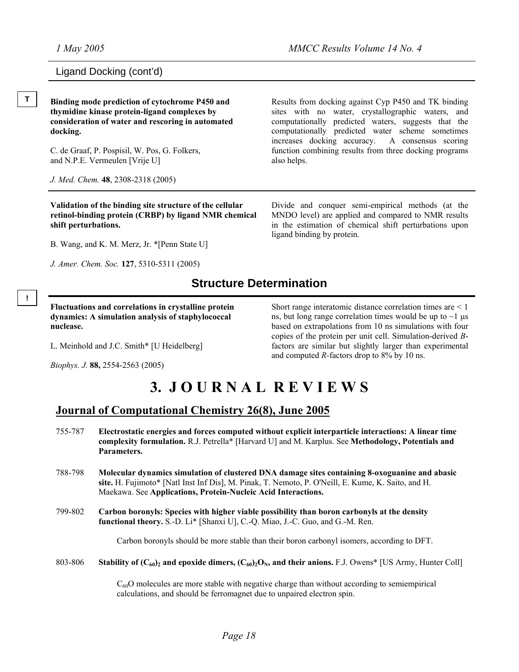### Ligand Docking (cont'd)

**T Binding mode prediction of cytochrome P450 and thymidine kinase protein-ligand complexes by consideration of water and rescoring in automated docking.** 

> C. de Graaf, P. Pospisil, W. Pos, G. Folkers, and N.P.E. Vermeulen [Vrije U]

*J. Med. Chem.* **48**, 2308-2318 (2005)

**Validation of the binding site structure of the cellular retinol-binding protein (CRBP) by ligand NMR chemical shift perturbations.**

B. Wang, and K. M. Merz, Jr. \*[Penn State U]

*J. Amer. Chem. Soc.* **127**, 5310-5311 (2005)

Results from docking against Cyp P450 and TK binding sites with no water, crystallographic waters, and computationally predicted waters, suggests that the computationally predicted water scheme sometimes increases docking accuracy. A consensus scoring function combining results from three docking programs also helps.

Divide and conquer semi-empirical methods (at the MNDO level) are applied and compared to NMR results in the estimation of chemical shift perturbations upon ligand binding by protein.

### **Structure Determination**

**!** 

**Fluctuations and correlations in crystalline protein dynamics: A simulation analysis of staphylococcal nuclease.**

L. Meinhold and J.C. Smith\* [U Heidelberg]

*Biophys. J.* **88,** 2554-2563 (2005)

Short range interatomic distance correlation times are < 1 ns, but long range correlation times would be up to  $\sim$ 1 µs based on extrapolations from 10 ns simulations with four copies of the protein per unit cell. Simulation-derived *B*factors are similar but slightly larger than experimental and computed *R-*factors drop to 8% by 10 ns.

# **3. J O U R N A L R E V I E W S**

### **Journal of Computational Chemistry 26(8), June 2005**

- 755-787 **Electrostatic energies and forces computed without explicit interparticle interactions: A linear time complexity formulation.** R.J. Petrella\* [Harvard U] and M. Karplus. See **Methodology, Potentials and Parameters.**
- 788-798 **Molecular dynamics simulation of clustered DNA damage sites containing 8-oxoguanine and abasic site.** H. Fujimoto\* [Natl Inst Inf Dis], M. Pinak, T. Nemoto, P. O'Neill, E. Kume, K. Saito, and H. Maekawa. See **Applications, Protein-Nucleic Acid Interactions.**
- 799-802 **Carbon boronyls: Species with higher viable possibility than boron carbonyls at the density functional theory.** S.-D. Li\* [Shanxi U], C.-Q. Miao, J.-C. Guo, and G.-M. Ren.

Carbon boronyls should be more stable than their boron carbonyl isomers, according to DFT.

803-806 **Stability of**  $(C_{60})_2$  **and epoxide dimers,**  $(C_{60})_2O_N$ **, and their anions.** F.J. Owens\* [US Army, Hunter Coll]

 $C_{60}$ O molecules are more stable with negative charge than without according to semiempirical calculations, and should be ferromagnet due to unpaired electron spin.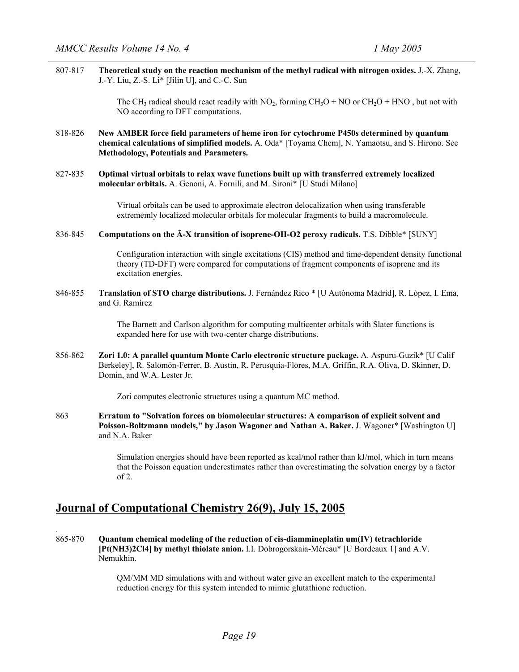807-817 **Theoretical study on the reaction mechanism of the methyl radical with nitrogen oxides.** J.-X. Zhang, J.-Y. Liu, Z.-S. Li\* [Jilin U], and C.-C. Sun

> The CH<sub>3</sub> radical should react readily with  $NO_2$ , forming  $CH_3O + NO$  or  $CH_2O + HNO$ , but not with NO according to DFT computations.

- 818-826 **New AMBER force field parameters of heme iron for cytochrome P450s determined by quantum chemical calculations of simplified models.** A. Oda\* [Toyama Chem], N. Yamaotsu, and S. Hirono. See **Methodology, Potentials and Parameters.**
- 827-835 **Optimal virtual orbitals to relax wave functions built up with transferred extremely localized molecular orbitals.** A. Genoni, A. Fornili, and M. Sironi\* [U Studi Milano]

Virtual orbitals can be used to approximate electron delocalization when using transferable extrememly localized molecular orbitals for molecular fragments to build a macromolecule.

836-845 **Computations on the Ã-X transition of isoprene-OH-O2 peroxy radicals.** T.S. Dibble\* [SUNY]

Configuration interaction with single excitations (CIS) method and time-dependent density functional theory (TD-DFT) were compared for computations of fragment components of isoprene and its excitation energies.

846-855 **Translation of STO charge distributions.** J. Fernández Rico \* [U Autónoma Madrid], R. López, I. Ema, and G. Ramírez

> The Barnett and Carlson algorithm for computing multicenter orbitals with Slater functions is expanded here for use with two-center charge distributions.

856-862 **Zori 1.0: A parallel quantum Monte Carlo electronic structure package.** A. Aspuru-Guzik\* [U Calif Berkeley], R. Salomón-Ferrer, B. Austin, R. Perusquía-Flores, M.A. Griffin, R.A. Oliva, D. Skinner, D. Domin, and W.A. Lester Jr.

Zori computes electronic structures using a quantum MC method.

863 **Erratum to "Solvation forces on biomolecular structures: A comparison of explicit solvent and Poisson-Boltzmann models," by Jason Wagoner and Nathan A. Baker.** J. Wagoner\* [Washington U] and N.A. Baker

> Simulation energies should have been reported as kcal/mol rather than kJ/mol, which in turn means that the Poisson equation underestimates rather than overestimating the solvation energy by a factor of 2.

### **Journal of Computational Chemistry 26(9), July 15, 2005**

.

865-870 **Quantum chemical modeling of the reduction of cis-diammineplatin um(IV) tetrachloride [Pt(NH3)2Cl4] by methyl thiolate anion.** I.I. Dobrogorskaia-Méreau\* [U Bordeaux 1] and A.V. Nemukhin.

> QM/MM MD simulations with and without water give an excellent match to the experimental reduction energy for this system intended to mimic glutathione reduction.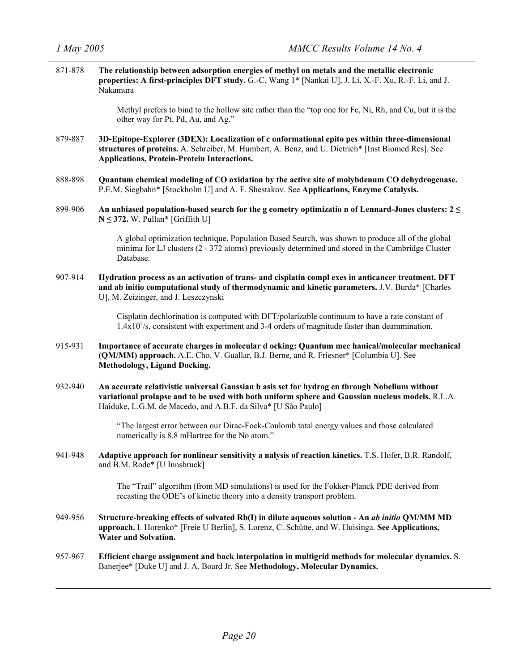871-878 **The relationship between adsorption energies of methyl on metals and the metallic electronic properties: A first-principles DFT study.** G.-C. Wang 1\* [Nankai U], J. Li, X.-F. Xu, R.-F. Li, and J. Nakamura Methyl prefers to bind to the hollow site rather than the "top one for Fe, Ni, Rh, and Cu, but it is the other way for Pt, Pd, Au, and Ag." 879-887 **3D-Epitope-Explorer (3DEX): Localization of c onformational epito pes within three-dimensional structures of proteins.** A. Schreiber, M. Humbert, A. Benz, and U. Dietrich\* [Inst Biomed Res]. See **Applications, Protein-Protein Interactions.** 888-898 **Quantum chemical modeling of CO oxidation by the active site of molybdenum CO dehydrogenase.**  P.E.M. Siegbahn\* [Stockholm U] and A. F. Shestakov. See **Applications, Enzyme Catalysis.** 899-906 **An unbiased population-based search for the g eometry optimizatio n of Lennard-Jones clusters: 2 ≤ N ≤ 372.** W. Pullan\* [Griffith U] A global optimization technique, Population Based Search, was shown to produce all of the global minima for LJ clusters (2 - 372 atoms) previously determined and stored in the Cambridge Cluster Database. 907-914 **Hydration process as an activation of trans- and cisplatin compl exes in anticancer treatment. DFT and ab initio computational study of thermodynamic and kinetic parameters.** J.V. Burda\* [Charles U], M. Zeizinger, and J. Leszczynski Cisplatin dechlorination is computed with DFT/polarizable continuum to have a rate constant of  $1.4x10<sup>4</sup>/s$ , consistent with experiment and 3-4 orders of magnitude faster than deammination. 915-931 **Importance of accurate charges in molecular d ocking: Quantum mec hanical/molecular mechanical (QM/MM) approach.** A.E. Cho, V. Guallar, B.J. Berne, and R. Friesner\* [Columbia U]. See **Methodology, Ligand Docking.** 932-940 **An accurate relativistic universal Gaussian b asis set for hydrog en through Nobelium without variational prolapse and to be used with both uniform sphere and Gaussian nucleus models.** R.L.A. Haiduke, L.G.M. de Macedo, and A.B.F. da Silva\* [U São Paulo] "The largest error between our Dirac-Fock-Coulomb total energy values and those calculated numerically is 8.8 mHartree for the No atom." 941-948 **Adaptive approach for nonlinear sensitivity a nalysis of reaction kinetics.** T.S. Hofer, B.R. Randolf, and B.M. Rode\* [U Innsbruck] The "Trail" algorithm (from MD simulations) is used for the Fokker-Planck PDE derived from recasting the ODE's of kinetic theory into a density transport problem. 949-956 **Structure-breaking effects of solvated Rb(I) in dilute aqueous solution - An** *ab initio* **QM/MM MD approach.** I. Horenko\* [Freie U Berlin], S. Lorenz, C. Schütte, and W. Huisinga. **See Applications, Water and Solvation.** 957-967 **Efficient charge assignment and back interpolation in multigrid methods for molecular dynamics.** S. Banerjee\* [Duke U] and J. A. Board Jr. See **Methodology, Molecular Dynamics.**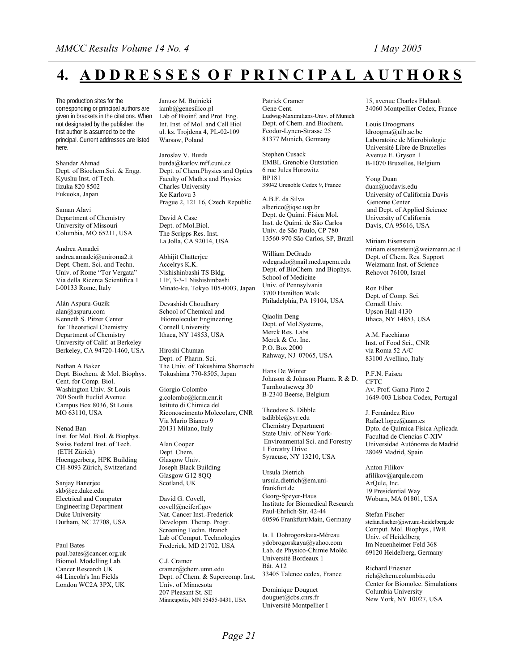# **4. A D D R E S S E S O F P R I N C I P A L A U T H O R S**

The production sites for the corresponding or principal authors are given in brackets in the citations. When not designated by the publisher, the first author is assumed to be the principal. Current addresses are listed here.

Shandar Ahmad Dept. of Biochem.Sci. & Engg. Kyushu Inst. of Tech. Iizuka 820 8502 Fukuoka, Japan

Saman Alavi Department of Chemistry University of Missouri Columbia, MO 65211, USA

Andrea Amadei andrea.amadei@uniroma2.it Dept. Chem. Sci. and Techn. Univ. of Rome "Tor Vergata" Via della Ricerca Scientifica 1 I-00133 Rome, Italy

Alán Aspuru-Guzik alan@aspuru.com Kenneth S. Pitzer Center for Theoretical Chemistry Department of Chemistry University of Calif. at Berkeley Berkeley, CA 94720-1460, USA

Nathan A Baker Dept. Biochem. & Mol. Biophys. Cent. for Comp. Biol. Washington Univ. St Louis 700 South Euclid Avenue Campus Box 8036, St Louis MO 63110, USA

Nenad Ban Inst. for Mol. Biol. & Biophys. Swiss Federal Inst. of Tech. (ETH Zürich) Hoenggerberg, HPK Building CH-8093 Zürich, Switzerland

Sanjay Banerjee skb@ee.duke.edu Electrical and Computer Engineering Department Duke University Durham, NC 27708, USA

Paul Bates paul.bates@cancer.org.uk Biomol. Modelling Lab. Cancer Research UK 44 Lincoln's Inn Fields London WC2A 3PX, UK

Janusz M. Bujnicki iamb@genesilico.pl Lab of Bioinf. and Prot. Eng. Int. Inst. of Mol. and Cell Biol ul. ks. Trojdena 4, PL-02-109 Warsaw, Poland

Jaroslav V. Burda burda@karlov.mff.cuni.cz Dept. of Chem.Physics and Optics Faculty of Math.s and Physics Charles University Ke Karlovu 3 Prague 2, 121 16, Czech Republic

David A Case Dept. of Mol.Biol. The Scripps Res. Inst. La Jolla, CA 92014, USA

Abhijit Chatterjee Accelrys K.K. Nishishinbashi TS Bldg. 11F, 3-3-1 Nishishinbashi Minato-ku, Tokyo 105-0003, Japan

Devashish Choudhary School of Chemical and Biomolecular Engineering Cornell University Ithaca, NY 14853, USA

Hiroshi Chuman Dept. of Pharm. Sci. The Univ. of Tokushima Shomachi Tokushima 770-8505, Japan

Giorgio Colombo g.colombo@icrm.cnr.it Istituto di Chimica del Riconoscimento Molecolare, CNR Via Mario Bianco 9 20131 Milano, Italy

Alan Cooper Dept. Chem. Glasgow Univ. Joseph Black Building Glasgow G12 8QQ Scotland, UK

David G. Covell, covell@ncifcrf.gov Nat. Cancer Inst.-Frederick Developm. Therap. Progr. Screening Techn. Branch Lab of Comput. Technologies Frederick, MD 21702, USA

C.J. Cramer cramer@chem.umn.edu Dept. of Chem. & Supercomp. Inst. Univ. of Minnesota 207 Pleasant St. SE Minneapolis, MN 55455-0431, USA

Patrick Cramer Gene Cent. Ludwig-Maximilians-Univ. of Munich Dept. of Chem. and Biochem. Feodor-Lynen-Strasse 25 81377 Munich, Germany

Stephen Cusack EMBL Grenoble Outstation 6 rue Jules Horowitz BP181 38042 Grenoble Cedex 9, France

A.B.F. da Silva alberico@iqsc.usp.br Dept. de Quími. Física Mol. Inst. de Quími. de São Carlos Univ. de São Paulo, CP 780 13560-970 São Carlos, SP, Brazil

William DeGrado wdegrado@mail.med.upenn.edu Dept. of BioChem. and Biophys. School of Medicine Univ. of Pennsylvania 3700 Hamilton Walk Philadelphia, PA 19104, USA

Qiaolin Deng Dept. of Mol.Systems, Merck Res. Labs Merck & Co. Inc. P.O. Box 2000 Rahway, NJ 07065, USA

Hans De Winter Johnson & Johnson Pharm. R & D. Turnhoutseweg 30 B-2340 Beerse, Belgium

Theodore S. Dibble tsdibble@syr.edu Chemistry Department State Univ. of New York- Environmental Sci. and Forestry 1 Forestry Drive Syracuse, NY 13210, USA

Ursula Dietrich ursula.dietrich@em.unifrankfurt.de Georg-Speyer-Haus Institute for Biomedical Research Paul-Ehrlich-Str. 42-44 60596 Frankfurt/Main, Germany

Ia. I. Dobrogorskaia-Méreau ydobrogorskaya@yahoo.com Lab. de Physico-Chimie Moléc. Université Bordeaux 1 Bât. A12 33405 Talence cedex, France

Dominique Douguet douguet@cbs.cnrs.fr Université Montpellier I

15, avenue Charles Flahault 34060 Montpellier Cedex, France

Louis Droogmans ldroogma@ulb.ac.be Laboratoire de Microbiologie Université Libre de Bruxelles Avenue E. Gryson 1 B-1070 Bruxelles, Belgium

Yong Duan duan@ucdavis.edu University of California Davis Genome Center and Dept. of Applied Science University of California Davis, CA 95616, USA

Miriam Eisenstein miriam.eisenstein@weizmann.ac.il Dept. of Chem. Res. Support Weizmann Inst. of Science Rehovot 76100, Israel

Ron Elber Dept. of Comp. Sci. Cornell Univ. Upson Hall 4130 Ithaca, NY 14853, USA

A.M. Facchiano Inst. of Food Sci., CNR via Roma 52 A/C 83100 Avellino, Italy

P.F.N. Faisca **CFTC** Av. Prof. Gama Pinto 2 1649-003 Lisboa Codex, Portugal

J. Fernández Rico Rafael.lopez@uam.cs Dpto. de Química Física Aplicada Facultad de Ciencias C-XIV Universidad Autónoma de Madrid 28049 Madrid, Spain

Anton Filikov afilikov@arqule.com ArQule, Inc. 19 Presidential Way Woburn, MA 01801, USA

Stefan Fischer stefan.fischer@iwr.uni-heidelberg.de Comput. Mol. Biophys., IWR Univ. of Heidelberg Im Neuenheimer Feld 368 69120 Heidelberg, Germany

Richard Friesner rich@chem.columbia.edu Center for Biomolec. Simulations Columbia University New York, NY 10027, USA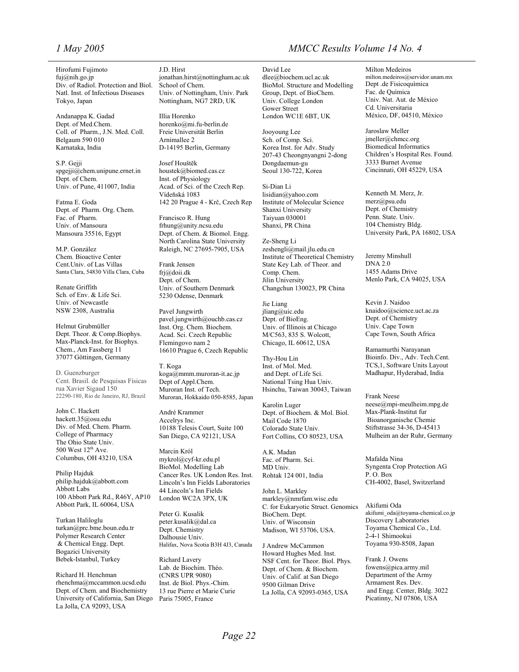Hirofumi Fujimoto fuj@nih.go.jp Div. of Radiol. Protection and Biol. Natl. Inst. of Infectious Diseases Tokyo, Japan

Andanappa K. Gadad Dept. of Med.Chem. Coll. of Pharm., J.N. Med. Coll. Belgaum 590 010 Karnataka, India

S.P. Gejji [spgejji@chem.unipune.ernet.in](mailto:pgejji@chem.unipune.ernet.in) Dept. of Chem. Univ. of Pune, 411007, India

Fatma E. Goda Dept. of Pharm. Org. Chem. Fac. of Pharm. Univ. of Mansoura Mansoura 35516, Egypt

M.P. González Chem. Bioactive Center Cent.Univ. of Las Villas Santa Clara, 54830 Villa Clara, Cuba

Renate Griffith Sch. of Env. & Life Sci. Univ. of Newcastle NSW 2308, Australia

Helmut Grubmüller Dept. Theor. & Comp.Biophys. Max-Planck-Inst. for Biophys. Chem., Am Fassberg 11 37077 Göttingen, Germany

D. Guenzburger Cent. Brasil. de Pesquisas Físicas rua Xavier Sigaud 150 22290-180, Rio de Janeiro, RJ, Brazil

John C. Hackett hackett.35@osu.edu Div. of Med. Chem. Pharm. College of Pharmacy The Ohio State Univ. 500 West  $12<sup>th</sup>$  Ave. Columbus, OH 43210, USA

Philip Hajduk philip.hajduk@abbott.com Abbott Labs 100 Abbott Park Rd., R46Y, AP10 Abbott Park, IL 60064, USA

Turkan Haliloglu turkan@prc.bme.boun.edu.tr Polymer Research Center & Chemical Engg. Dept. Bogazici University Bebek-Istanbul, Turkey

Richard H. Henchman rhenchma@mccammon.ucsd.edu Dept. of Chem. and Biochemistry University of California, San Diego La Jolla, CA 92093, USA

J.D. Hirst jonathan.hirst@nottingham.ac.uk School of Chem. Univ. of Nottingham, Univ. Park Nottingham, NG7 2RD, UK

Illia Horenko horenko@mi.fu-berlin.de Freie Universität Berlin Arnimallee 2 D-14195 Berlin, Germany

Josef Houštĕk houstek@biomed.cas.cz Inst. of Physiology Acad. of Sci. of the Czech Rep. Vídeňská 1083 142 20 Prague 4 - Krč, Czech Rep

Francisco R. Hung frhung@unity.ncsu.edu Dept. of Chem. & Biomol. Engg. North Carolina State University Raleigh, NC 27695-7905, USA

Frank Jensen [frj@doii.dk](mailto:frj@doii.dk) Dept. of Chem. Univ. of Southern Denmark 5230 Odense, Denmark

Pavel Jungwirth pavel.jungwirth@ouchb.cas.cz Inst. Org. Chem. Biochem. Acad. Sci. Czech Republic Flemingovo nam 2 16610 Prague 6, Czech Republic

T. Koga [koga@mmm.muroran-it.ac.jp](mailto:koga@mmm.muroran-it.ac.jp) Dept of Appl.Chem. Muroran Inst. of Tech. Muroran, Hokkaido 050-8585, Japan

André Krammer Accelrys Inc. 10188 Telesis Court, Suite 100 San Diego, CA 92121, USA

Marcin Król mykrol@cyf-kr.edu.pl BioMol. Modelling Lab Cancer Res. UK London Res. Inst. Lincoln's Inn Fields Laboratories 44 Lincoln's Inn Fields London WC2A 3PX, UK

Peter G. Kusalik peter.kusalik@dal.ca Dept. Chemistry Dalhousie Univ. Halifax, Nova Scotia B3H 4J3, Canada

Richard Lavery Lab. de Biochim. Théo. (CNRS UPR 9080) Inst. de Biol. Phys.-Chim. 13 rue Pierre et Marie Curie Paris 75005, France

## *1 May 2005 MMCC Results Volume 14 No. 4*

David Lee dlee@biochem.ucl.ac.uk BioMol. Structure and Modelling Group, Dept. of BioChem. Univ. College London Gower Street London WC1E 6BT, UK

Jooyoung Lee Sch. of Comp. Sci. Korea Inst. for Adv. Study 207-43 Cheongnyangni 2-dong Dongdaemun-gu Seoul 130-722, Korea

Si-Dian Li lisidian@yahoo.com Institute of Molecular Science Shanxi University Taiyuan 030001 Shanxi, PR China

Ze-Sheng Li zeshengli@mail.jlu.edu.cn Institute of Theoretical Chemistry State Key Lab. of Theor. and Comp. Chem. Jilin University Changchun 130023, PR China

Jie Liang jliang@uic.edu Dept. of BioEng. Univ. of Illinois at Chicago M/C563, 835 S. Wolcott, Chicago, IL 60612, USA

Thy-Hou Lin Inst. of Mol. Med. and Dept. of Life Sci. National Tsing Hua Univ. Hsinchu, Taiwan 30043, Taiwan

Karolin Luger Dept. of Biochem. & Mol. Biol. Mail Code 1870 Colorado State Univ. Fort Collins, CO 80523, USA

A.K. Madan Fac. of Pharm. Sci. MD Univ. Rohtak 124 001, India

John L. Markley markley@nmrfam.wisc.edu C. for Eukaryotic Struct. Genomics BioChem. Dept. Univ. of Wisconsin Madison, WI 53706, USA.

J Andrew McCammon Howard Hughes Med. Inst. NSF Cent. for Theor. Biol. Phys. Dept. of Chem. & Biochem. Univ. of Calif. at San Diego 9500 Gilman Drive La Jolla, CA 92093-0365, USA

Milton Medeiros [milton.medeiros@servidor.unam.mx](mailto:milton.medeiros@servidor.unam.mx) Dept .de Fisicoquìmica Fac. de Química Univ. Nat. Aut. de México Cd. Universitaria México, DF, 04510, México

Jaroslaw Meller jmeller@chmcc.org Biomedical Informatics Children's Hospital Res. Found. 3333 Burnet Avenue Cincinnati, OH 45229, USA

Kenneth M. Merz, Jr. merz@psu.edu Dept. of Chemistry Penn. State. Univ. 104 Chemistry Bldg. University Park, PA 16802, USA

Jeremy Minshull DNA 2.0 1455 Adams Drive Menlo Park, CA 94025, USA

Kevin J. Naidoo knaidoo@science.uct.ac.za Dept. of Chemistry Univ. Cape Town Cape Town, South Africa

Ramamurthi Narayanan Bioinfo. Div., Adv. Tech.Cent. TCS,1, Software Units Layout Madhapur, Hyderabad, India

Frank Neese neese@mpi-meulheim.mpg.de Max-Plank-Institut fur Bioanorganische Chemie Stiftstrasse 34-36, D-45413 Mulheim an der Ruhr, Germany

Mafalda Nina Syngenta Crop Protection AG P. O. Box CH-4002, Basel, Switzerland

Akifumi Oda akifumi\_oda@toyama-chemical.co.jp Discovery Laboratories Toyama Chemical Co., Ltd. 2-4-1 Shimookui Toyama 930-8508, Japan

Frank J. Owens fowens@pica.army.mil Department of the Army Armament Res. Dev. and Engg. Center, Bldg. 3022 Picatinny, NJ 07806, USA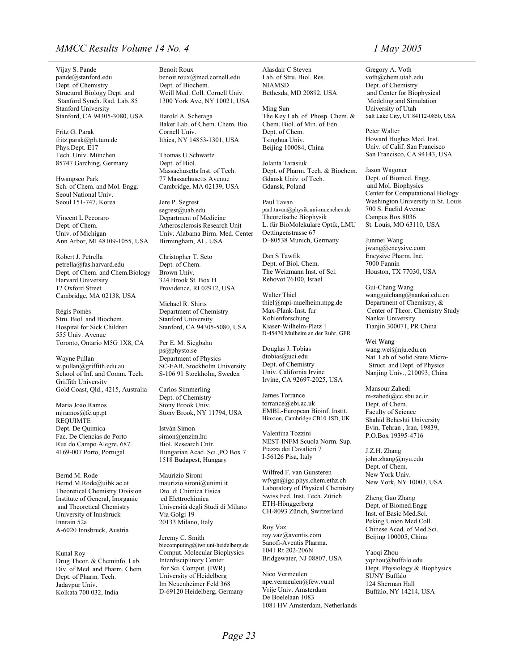### *MMCC Results Volume 14 No. 4 1 May 2005*

Vijay S. Pande pande@stanford.edu Dept. of Chemistry Structural Biology Dept. and Stanford Synch. Rad. Lab. 85 Stanford University Stanford, CA 94305-3080, USA

Fritz G. Parak [fritz.parak@ph.tum.de](mailto:fritz.parak@ph.tum.de) Phys.Dept. E17 Tech. Univ. München 85747 Garching, Germany

Hwangseo Park Sch. of Chem. and Mol. Engg. Seoul National Univ. Seoul 151-747, Korea

Vincent L Pecoraro Dept. of Chem. Univ. of Michigan Ann Arbor, MI 48109-1055, USA

Robert J. Petrella petrella@fas.harvard.edu Dept. of Chem. and Chem.Biology Harvard University 12 Oxford Street Cambridge, MA 02138, USA

Régis Pomès Stru. Biol. and Biochem. Hospital for Sick Children 555 Univ. Avenue Toronto, Ontario M5G 1X8, CA

Wayne Pullan w.pullan@griffith.edu.au School of Inf. and Comm. Tech. Griffith University Gold Coast, Qld., 4215, Australia

Maria Joao Ramos mjramos@fc.up.pt REQUIMTE Dept. De Quimica Fac. De Ciencias do Porto Rua do Campo Alegre, 687 4169-007 Porto, Portugal

Bernd M. Rode Bernd.M.Rode@uibk.ac.at Theoretical Chemistry Division Institute of General, Inorganic and Theoretical Chemistry University of Innsbruck Innrain 52a A-6020 Innsbruck, Austria

Kunal Roy Drug Theor. & Cheminfo. Lab. Div. of Med. and Pharm. Chem. Dept. of Pharm. Tech. Jadavpur Univ. Kolkata 700 032, India

Benoit Roux benoit.roux@med.cornell.edu Dept. of Biochem. Weill Med. Coll. Cornell Univ. 1300 York Ave, NY 10021, USA

Harold A. Scheraga Baker Lab. of Chem. Chem. Bio. Cornell Univ. Ithica, NY 14853-1301, USA

Thomas U Schwartz Dept. of Biol. Massachusetts Inst. of Tech. 77 Massachusetts Avenue Cambridge, MA 02139, USA

Jere P. Segrest segrest@uab.edu Department of Medicine Atherosclerosis Research Unit Univ. Alabama Birm. Med. Center Birmingham, AL, USA

Christopher T. Seto Dept. of Chem. Brown Univ. 324 Brook St. Box H Providence, RI 02912, USA

Michael R. Shirts Department of Chemistry Stanford University Stanford, CA 94305-5080, USA

Per E. M. Siegbahn ps@physto.se Department of Physics SC-FAB, Stockholm University S-106 91 Stockholm, Sweden

Carlos Simmerling Dept. of Chemistry Stony Brook Univ. Stony Brook, NY 11794, USA

István Simon simon@enzim.hu Biol. Research Cntr. Hungarian Acad. Sci.,PO Box 7 1518 Budapest, Hungary

Maurizio Sironi maurizio.sironi@unimi.it Dto. di Chimica Fisica ed Elettrochimica Università degli Studi di Milano Via Golgi 19 20133 Milano, Italy

Jeremy C. Smith biocomputing@iwr.uni-heidelberg.de Comput. Molecular Biophysics Interdisciplinary Center for Sci. Comput. (IWR) University of Heidelberg Im Neuenheimer Feld 368 D-69120 Heidelberg, Germany

Alasdair C Steven Lab. of Stru. Biol. Res. NIAMSD Bethesda, MD 20892, USA

Ming Sun The Key Lab. of Phosp. Chem. & Chem. Biol. of Min. of Edn. Dept. of Chem. Tsinghua Univ. Beijing 100084, China

Jolanta Tarasiuk Dept. of Pharm. Tech. & Biochem. Gdansk Univ. of Tech. Gdansk, Poland

Paul Tavan paul.tavan@physik.uni-muenchen.de Theoretische Biophysik L. für BioMolekulare Optik, LMU Oettingenstrasse 67 D–80538 Munich, Germany

Dan S Tawfik Dept. of Biol. Chem. The Weizmann Inst. of Sci. Rehovot 76100, Israel

Walter Thiel thiel@mpi-muelheim.mpg.de Max-Plank-Inst. fur Kohlenforschung Kiaser-Wilhelm-Platz 1 D-45470 Mulheim an der Ruhr, GFR

Douglas J. Tobias dtobias@uci.edu Dept. of Chemistry Univ. California Irvine Irvine, CA 92697-2025, USA

James Torrance torrance@ebi.ac.uk EMBL-European Bioinf. Instit. Hinxton, Cambridge CB10 1SD, UK

Valentina Tozzini NEST-INFM Scuola Norm. Sup. Piazza dei Cavalieri 7 I-56126 Pisa, Italy

Wilfred F. van Gunsteren wfvgn@igc.phys.chem.ethz.ch Laboratory of Physical Chemistry Swiss Fed. Inst. Tech. Zürich ETH-Hönggerberg CH-8093 Zürich, Switzerland

Roy Vaz roy.vaz@aventis.com Sanofi-Aventis Pharma. 1041 Rt 202-206N Bridgewater, NJ 08807, USA

Nico Vermeulen npe.vermeulen@few.vu.nl Vrije Univ. Amsterdam De Boelelaan 1083 1081 HV Amsterdam, Netherlands

Gregory A. Voth voth@chem.utah.edu Dept. of Chemistry and Center for Biophysical Modeling and Simulation University of Utah Salt Lake City, UT 84112-0850, USA

Peter Walter Howard Hughes Med. Inst. Univ. of Calif. San Francisco San Francisco, CA 94143, USA

Jason Wagoner Dept. of Biomed. Engg. and Mol. Biophysics Center for Computational Biology Washington University in St. Louis 700 S. Euclid Avenue Campus Box 8036 St. Louis, MO 63110, USA

Junmei Wang jwang@encysive.com Encysive Pharm. Inc. 7000 Fannin Houston, TX 77030, USA

Gui-Chang Wang wangguichang@nankai.edu.cn Department of Chemistry, & Center of Theor. Chemistry Study Nankai University Tianjin 300071, PR China

Wei Wang wang.wei@nju.edu.cn Nat. Lab of Solid State Micro- Struct. and Dept. of Physics Nanjing Univ., 210093, China

Mansour Zahedi [m-zahedi@cc.sbu.ac.ir](mailto:m-zahedi@cc.sbu.ac.ir) Dept. of Chem. Faculty of Science Shahid Beheshti University Evin, Tehran , Iran, 19839, P.O.Box 19395-4716

J.Z.H. Zhang john.zhang@nyu.edu Dept. of Chem. New York Univ. New York, NY 10003, USA

Zheng Guo Zhang Dept. of Biomed.Engg Inst. of Basic Med.Sci. Peking Union Med.Coll. Chinese Acad. of Med.Sci. Beijing 100005, China

Yaoqi Zhou yqzhou@buffalo.edu Dept. Physiology & Biophysics SUNY Buffalo 124 Sherman Hall Buffalo, NY 14214, USA